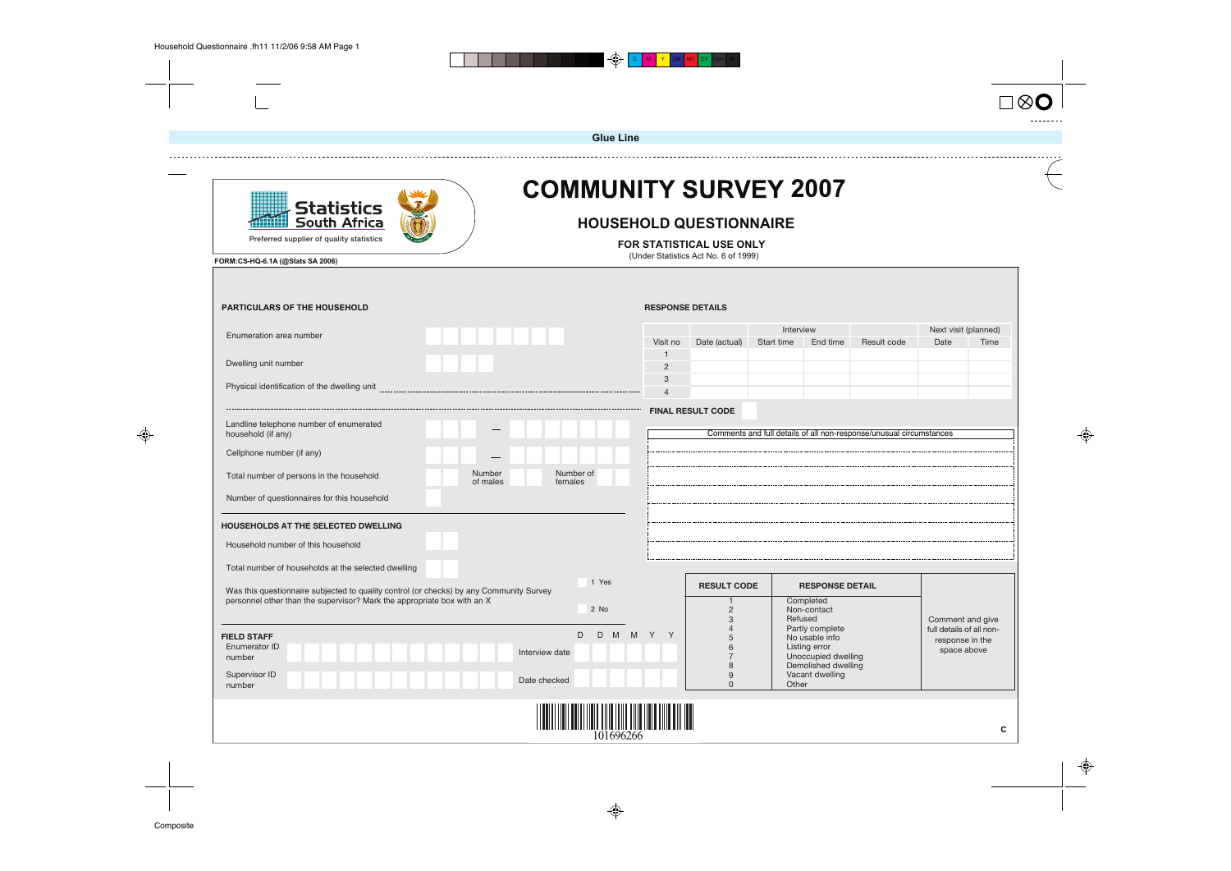





|                                                                                                                   |                    | <b>Glue Line</b>             |                                |                                                                                                    |            |                                        |                                                                     |                                                                 |      |
|-------------------------------------------------------------------------------------------------------------------|--------------------|------------------------------|--------------------------------|----------------------------------------------------------------------------------------------------|------------|----------------------------------------|---------------------------------------------------------------------|-----------------------------------------------------------------|------|
| Statistics<br><b>South Africa</b><br>Preferred supplier of quality statistics<br>FORM:CS-HQ-6.1A (@Stats SA 2006) |                    | <b>COMMUNITY SURVEY 2007</b> |                                | <b>HOUSEHOLD QUESTIONNAIRE</b><br>FOR STATISTICAL USE ONLY<br>(Under Statistics Act No. 6 of 1999) |            |                                        |                                                                     |                                                                 |      |
| <b>PARTICULARS OF THE HOUSEHOLD</b>                                                                               |                    |                              |                                | <b>RESPONSE DETAILS</b>                                                                            |            |                                        |                                                                     |                                                                 |      |
|                                                                                                                   |                    |                              |                                |                                                                                                    | Interview  |                                        |                                                                     | Next visit (planned)                                            |      |
| Enumeration area number                                                                                           |                    |                              | Visit no                       | Date (actual)                                                                                      | Start time | End time                               | Result code                                                         | Date                                                            | Time |
| Dwelling unit number                                                                                              |                    |                              | $\mathbf{1}$<br>$\overline{2}$ |                                                                                                    |            |                                        |                                                                     |                                                                 |      |
| Physical identification of the dwelling unit                                                                      |                    |                              | 3<br>$\overline{4}$            |                                                                                                    |            |                                        |                                                                     |                                                                 |      |
|                                                                                                                   |                    |                              |                                | <b>FINAL RESULT CODE</b>                                                                           |            |                                        |                                                                     |                                                                 |      |
| Landline telephone number of enumerated<br>household (if any)                                                     |                    |                              |                                |                                                                                                    |            |                                        | Comments and full details of all non-response/unusual circumstances |                                                                 |      |
| Cellphone number (if any)                                                                                         |                    |                              |                                |                                                                                                    |            |                                        |                                                                     |                                                                 |      |
| Total number of persons in the household                                                                          | Number<br>of males | Number of<br>females         |                                |                                                                                                    |            |                                        |                                                                     |                                                                 |      |
| Number of questionnaires for this household                                                                       |                    |                              |                                |                                                                                                    |            |                                        |                                                                     |                                                                 |      |
| HOUSEHOLDS AT THE SELECTED DWELLING                                                                               |                    |                              |                                |                                                                                                    |            |                                        |                                                                     |                                                                 |      |
| Household number of this household                                                                                |                    |                              |                                |                                                                                                    |            |                                        |                                                                     |                                                                 |      |
| Total number of households at the selected dwelling                                                               |                    |                              |                                |                                                                                                    |            |                                        |                                                                     |                                                                 |      |
| Was this questionnaire subjected to quality control (or checks) by any Community Survey                           |                    | 1 Yes                        |                                | <b>RESULT CODE</b>                                                                                 |            | <b>RESPONSE DETAIL</b>                 |                                                                     |                                                                 |      |
| personnel other than the supervisor? Mark the appropriate box with an X                                           |                    | 2 No                         |                                | $\overline{2}$                                                                                     |            | Completed<br>Non-contact<br>Refused    |                                                                     |                                                                 |      |
| <b>FIELD STAFF</b>                                                                                                |                    |                              | D D M M Y Y                    | 3<br>5                                                                                             |            | Partly complete<br>No usable info      |                                                                     | Comment and give<br>full details of all non-<br>response in the |      |
| Enumerator ID<br>number                                                                                           |                    | Interview date               |                                | 6<br>$\overline{7}$                                                                                |            | Listing error<br>Unoccupied dwelling   |                                                                     | space above                                                     |      |
| Supervisor ID<br>number                                                                                           |                    | Date checked                 |                                | 8<br>9<br>$\Omega$                                                                                 | Other      | Demolished dwelling<br>Vacant dwelling |                                                                     |                                                                 |      |
|                                                                                                                   |                    |                              |                                |                                                                                                    |            |                                        |                                                                     |                                                                 |      |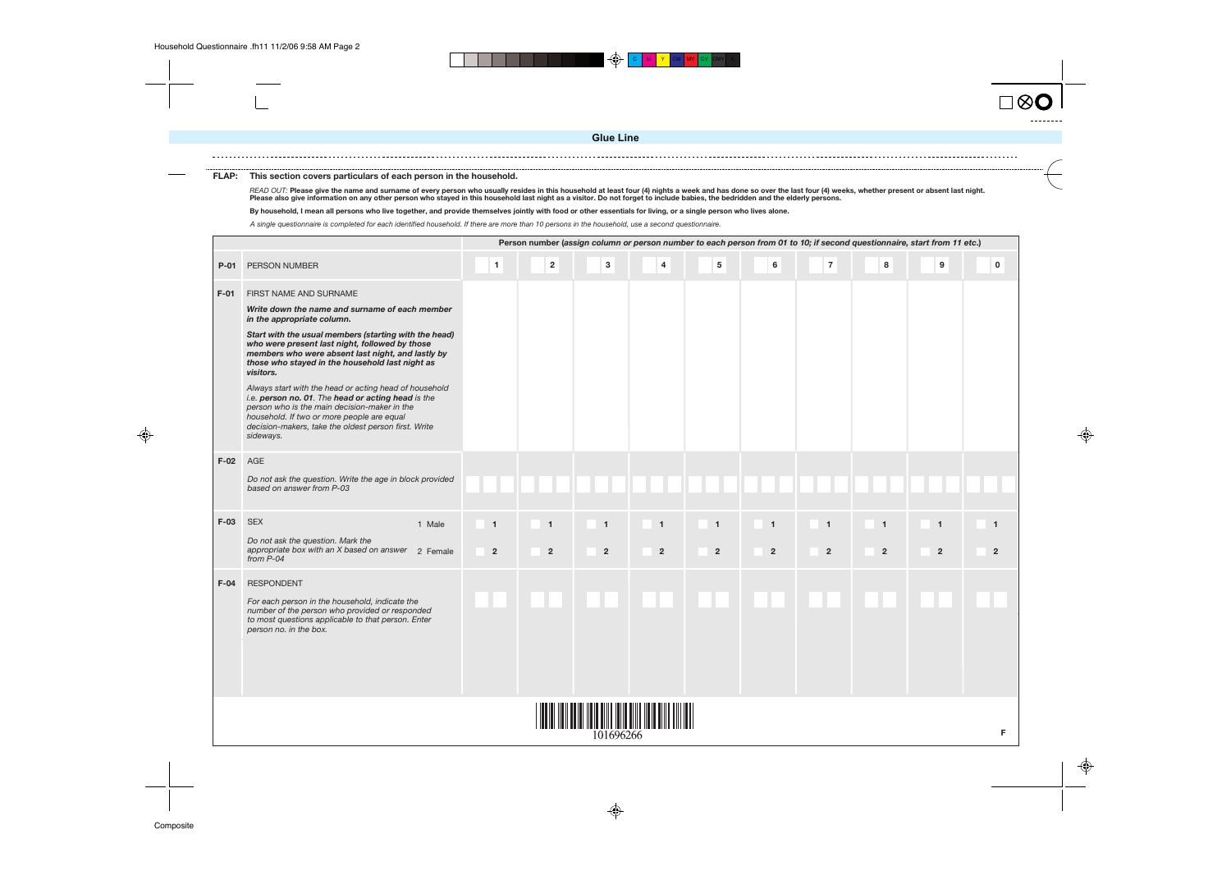

#### **FLAP: This section covers particulars of each person in the household.**

READ OUT: Please give the name and surname of every person who usually resides in this household at least four (4) nights a week and has done so over the last four (4) weeks, whether present or absent last night.<br>Please al

**By household, I mean all persons who live together, and provide themselves jointly with food or other essentials for living, or a single person who lives alone.**

A single questionnaire is completed for each identified household. If there are more than 10 persons in the household, use a second questionnaire.

|        |                                                                                                                                                                                                                                                                                                                                                                                                                                                                                                                                                                                                                           |                                |                                  |                                |                                |                                |                                  |                                  |                                | Person number (assign column or person number to each person from 01 to 10; if second questionnaire, start from 11 etc.) |                                  |
|--------|---------------------------------------------------------------------------------------------------------------------------------------------------------------------------------------------------------------------------------------------------------------------------------------------------------------------------------------------------------------------------------------------------------------------------------------------------------------------------------------------------------------------------------------------------------------------------------------------------------------------------|--------------------------------|----------------------------------|--------------------------------|--------------------------------|--------------------------------|----------------------------------|----------------------------------|--------------------------------|--------------------------------------------------------------------------------------------------------------------------|----------------------------------|
| $P-01$ | <b>PERSON NUMBER</b>                                                                                                                                                                                                                                                                                                                                                                                                                                                                                                                                                                                                      | $\mathbf{1}$                   | $\mathbf{2}$                     | $\mathbf{3}$                   | $\overline{\mathbf{4}}$        | ${\bf 5}$                      | $\bf 6$                          | $\overline{7}$                   | $\bf8$                         | $\boldsymbol{9}$                                                                                                         | $\mathbf 0$                      |
| $F-01$ | FIRST NAME AND SURNAME<br>Write down the name and surname of each member<br>in the appropriate column.<br>Start with the usual members (starting with the head)<br>who were present last night, followed by those<br>members who were absent last night, and lastly by<br>those who stayed in the household last night as<br>visitors.<br>Always start with the head or acting head of household<br>i.e. person no. 01. The head or acting head is the<br>person who is the main decision-maker in the<br>household. If two or more people are equal<br>decision-makers, take the oldest person first. Write<br>sideways. |                                |                                  |                                |                                |                                |                                  |                                  |                                |                                                                                                                          |                                  |
| $F-02$ | AGE<br>Do not ask the question. Write the age in block provided<br>based on answer from P-03                                                                                                                                                                                                                                                                                                                                                                                                                                                                                                                              |                                |                                  |                                |                                |                                |                                  |                                  |                                |                                                                                                                          |                                  |
| $F-03$ | <b>SEX</b><br>1 Male<br>Do not ask the question. Mark the<br>appropriate box with an X based on answer 2 Female<br>from $P-04$                                                                                                                                                                                                                                                                                                                                                                                                                                                                                            | $\mathbf{1}$<br>$\overline{2}$ | $\overline{1}$<br>$\overline{2}$ | $\mathbf{1}$<br>$\overline{2}$ | $\mathbf{1}$<br>$\overline{2}$ | $\mathbf{1}$<br>$\overline{2}$ | $\overline{1}$<br>$\overline{2}$ | $\overline{1}$<br>$\overline{2}$ | $\mathbf{1}$<br>$\overline{2}$ | $\overline{1}$<br>$\overline{2}$                                                                                         | $\overline{1}$<br>$\overline{2}$ |
| $F-04$ | <b>RESPONDENT</b><br>For each person in the household, indicate the<br>number of the person who provided or responded<br>to most questions applicable to that person. Enter<br>person no. in the box.                                                                                                                                                                                                                                                                                                                                                                                                                     |                                |                                  |                                |                                |                                |                                  |                                  |                                |                                                                                                                          |                                  |
|        |                                                                                                                                                                                                                                                                                                                                                                                                                                                                                                                                                                                                                           |                                |                                  | 101696266                      |                                |                                |                                  |                                  |                                |                                                                                                                          |                                  |



**Glue Line**

 $\bigoplus$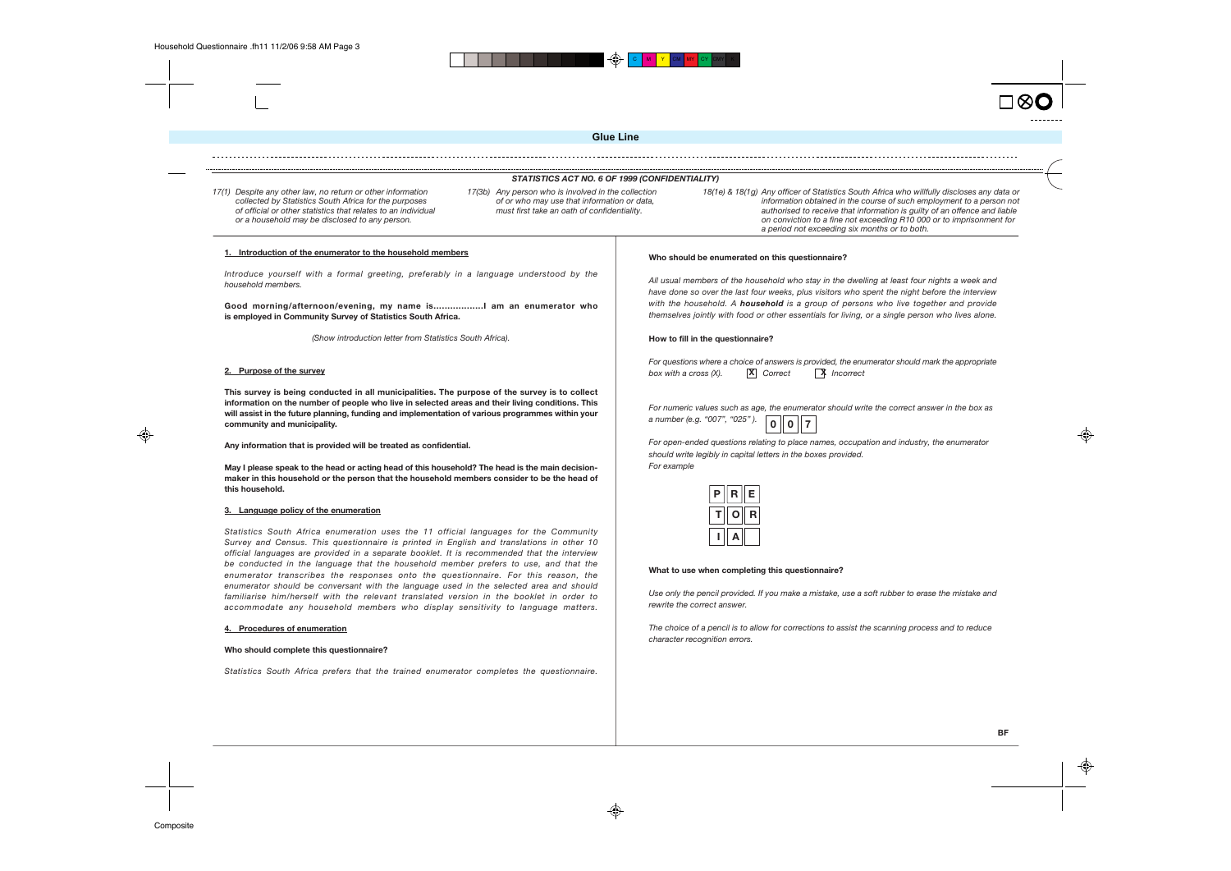⊕





◈



**BF**



 $\bigoplus$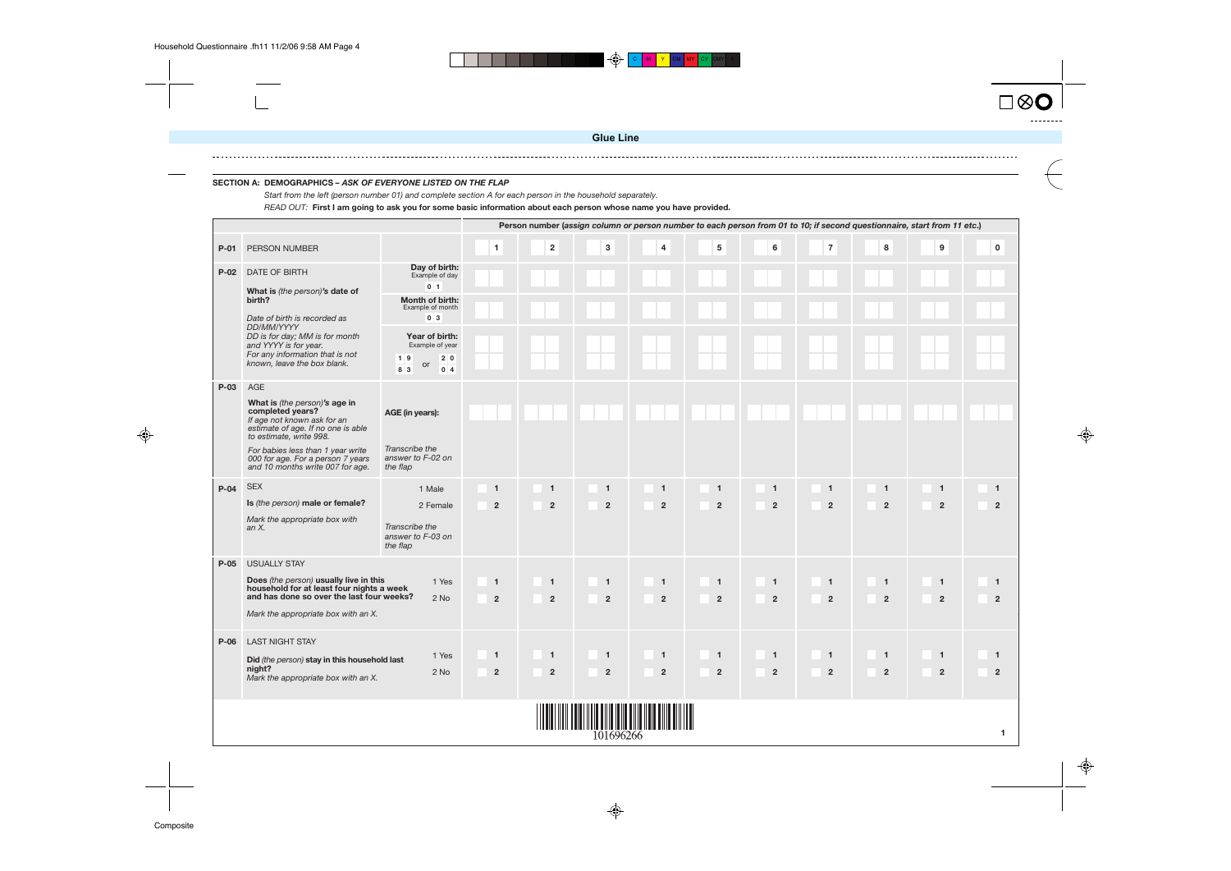







#### **SECTION A: DEMOGRAPHICS – ASK OF EVERYONE LISTED ON THE FLAP**

|        |                                                                                                                                                                                                                                                                        |                                                                             |                                |                                  |                                |                                |                                |                                  |                                |                                | Person number (assign column or person number to each person from 01 to 10; if second questionnaire, start from 11 etc.) |                     |
|--------|------------------------------------------------------------------------------------------------------------------------------------------------------------------------------------------------------------------------------------------------------------------------|-----------------------------------------------------------------------------|--------------------------------|----------------------------------|--------------------------------|--------------------------------|--------------------------------|----------------------------------|--------------------------------|--------------------------------|--------------------------------------------------------------------------------------------------------------------------|---------------------|
| $P-01$ | <b>PERSON NUMBER</b>                                                                                                                                                                                                                                                   |                                                                             | $\mathbf{1}$                   | $\mathbf 2$                      | 3                              | $\overline{\mathbf{4}}$        | 5                              | 6                                | $\overline{7}$                 | 8                              | 9                                                                                                                        |                     |
| $P-02$ | DATE OF BIRTH<br>What is (the person)'s date of                                                                                                                                                                                                                        | Day of birth:<br>Example of day<br>$0 \vert 1$                              |                                |                                  |                                |                                |                                |                                  |                                |                                |                                                                                                                          |                     |
|        | birth?<br>Date of birth is recorded as                                                                                                                                                                                                                                 | Month of birth:<br>Example of month<br>0 <sup>3</sup>                       |                                |                                  |                                |                                |                                |                                  |                                |                                |                                                                                                                          |                     |
|        | <b>DD/MM/YYYY</b><br>DD is for day; MM is for month<br>and YYYY is for year.<br>For any information that is not<br>known, leave the box blank.                                                                                                                         | Year of birth:<br>Example of year<br>$1 \vert 9$<br>2 0<br>or<br>8 3<br>0 4 |                                |                                  |                                |                                |                                |                                  |                                |                                |                                                                                                                          |                     |
| P-03   | AGE<br>What is (the person)'s age in<br>completed years?<br>If age not known ask for an<br>estimate of age. If no one is able<br>to estimate, write 998.<br>For babies less than 1 year write<br>000 for age. For a person 7 years<br>and 10 months write 007 for age. | AGE (in years):<br>Transcribe the<br>answer to F-02 on<br>the flap          |                                |                                  |                                |                                |                                |                                  |                                |                                |                                                                                                                          |                     |
| $P-04$ | <b>SEX</b><br>Is (the person) male or female?<br>Mark the appropriate box with<br>an $X$ .                                                                                                                                                                             | 1 Male<br>2 Female<br>Transcribe the                                        | $\mathbf{1}$<br>$\overline{2}$ | $\overline{1}$<br>$\overline{2}$ | $\mathbf{1}$<br>$\overline{2}$ | $\mathbf{1}$<br>$\overline{2}$ | $\mathbf{1}$<br>$\overline{2}$ | $\overline{1}$<br>$\overline{2}$ | $\mathbf{1}$<br>$\overline{2}$ | $\mathbf{1}$<br>$\overline{2}$ | $\mathbf{1}$<br>$\overline{2}$                                                                                           | 1<br>$\overline{2}$ |
|        |                                                                                                                                                                                                                                                                        | answer to F-03 on<br>the flap                                               |                                |                                  |                                |                                |                                |                                  |                                |                                |                                                                                                                          |                     |
| $P-05$ | <b>USUALLY STAY</b><br>Does (the person) usually live in this<br>household for at least four nights a week<br>and has done so over the last four weeks?<br>Mark the appropriate box with an X.                                                                         | 1 Yes<br>$2$ No                                                             | $\mathbf{1}$<br>$\overline{2}$ | $\overline{1}$<br>$\overline{2}$ | $\mathbf{1}$<br>$\overline{2}$ | $\mathbf{1}$<br>$\overline{2}$ | $\mathbf{1}$<br>$\overline{2}$ | $\overline{1}$<br>$\overline{2}$ | $\mathbf{1}$<br>$\overline{2}$ | $\mathbf{1}$<br>$\overline{2}$ | $\mathbf{1}$<br>$\overline{2}$                                                                                           | 1<br>2              |
| $P-06$ | <b>LAST NIGHT STAY</b><br>Did (the person) stay in this household last<br>night?<br>Mark the appropriate box with an X.                                                                                                                                                | 1 Yes<br>2 No                                                               | $\mathbf{1}$<br>$\mathbf{2}$   | $\overline{1}$<br>$\overline{2}$ | $\mathbf{1}$<br>$\overline{2}$ | $\mathbf{1}$<br>$\overline{2}$ | $\mathbf{1}$<br>$\overline{2}$ | $\mathbf{1}$<br>$\overline{2}$   | $\mathbf{1}$<br>$\overline{2}$ | $\mathbf{1}$<br>$\overline{2}$ | $\mathbf{1}$<br>$\overline{2}$                                                                                           | 1<br>$\overline{2}$ |
|        |                                                                                                                                                                                                                                                                        |                                                                             |                                |                                  | 101696266                      |                                |                                |                                  |                                |                                |                                                                                                                          |                     |

♦

Start from the left (person number 01) and complete section A for each person in the household separately.

READ OUT: **First I am going to ask you for some basic information about each person whose name you have provided.**

**Glue Line**

 $\bigoplus$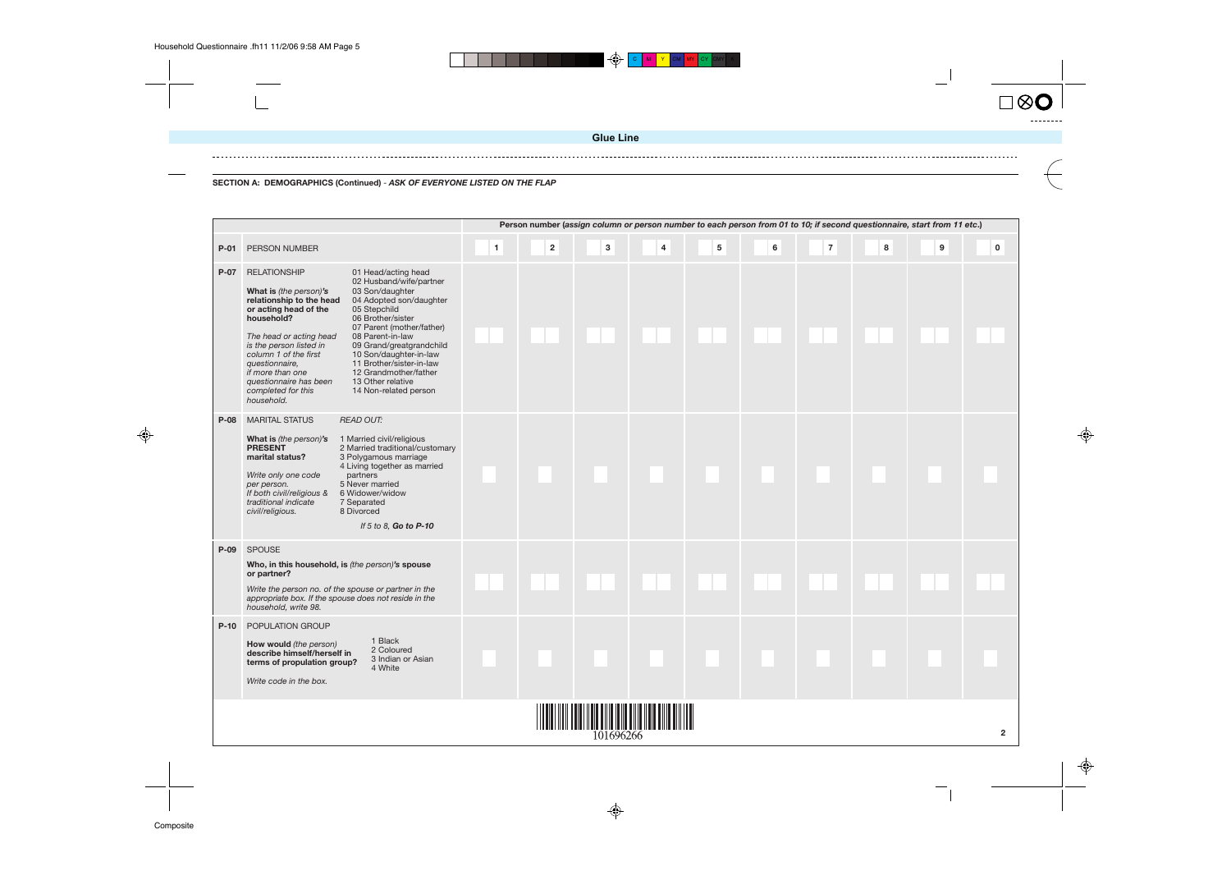C **M I Y I** CM I MY I CY ICMYI K

 $\bigoplus$ 





**SECTION A: DEMOGRAPHICS (Continued)** - **ASK OF EVERYONE LISTED ON THE FLAP**

|        | Person number (assign column or person number to each person from 01 to 10; if second questionnaire, start from 11 etc.)<br>3<br>$\overline{\mathbf{4}}$<br>$5\phantom{.0}$<br>6<br>$\overline{7}$<br>8<br>$\blacksquare$<br>$\overline{\mathbf{2}}$<br>9<br>$\Omega$<br>PERSON NUMBER                                                                                                                                                                                                                                                                                                                                                             |  |  |           |                        |  |  |  |  |  |  |  |  |  |
|--------|----------------------------------------------------------------------------------------------------------------------------------------------------------------------------------------------------------------------------------------------------------------------------------------------------------------------------------------------------------------------------------------------------------------------------------------------------------------------------------------------------------------------------------------------------------------------------------------------------------------------------------------------------|--|--|-----------|------------------------|--|--|--|--|--|--|--|--|--|
| $P-01$ |                                                                                                                                                                                                                                                                                                                                                                                                                                                                                                                                                                                                                                                    |  |  |           |                        |  |  |  |  |  |  |  |  |  |
| $P-07$ | <b>RELATIONSHIP</b><br>01 Head/acting head<br>02 Husband/wife/partner<br>What is (the person)'s<br>03 Son/daughter<br>04 Adopted son/daughter<br>relationship to the head<br>05 Stepchild<br>or acting head of the<br>household?<br>06 Brother/sister<br>07 Parent (mother/father)<br>The head or acting head<br>08 Parent-in-law<br>is the person listed in<br>09 Grand/greatgrandchild<br>column 1 of the first<br>10 Son/daughter-in-law<br>11 Brother/sister-in-law<br>questionnaire,<br>if more than one<br>12 Grandmother/father<br>questionnaire has been<br>13 Other relative<br>completed for this<br>14 Non-related person<br>household. |  |  |           |                        |  |  |  |  |  |  |  |  |  |
| $P-08$ | <b>MARITAL STATUS</b><br><b>READ OUT:</b><br>What is (the person)'s<br>1 Married civil/religious<br><b>PRESENT</b><br>2 Married traditional/customary<br>marital status?<br>3 Polygamous marriage<br>4 Living together as married<br>Write only one code<br>partners<br>5 Never married<br>per person.<br>If both civil/religious &<br>6 Widower/widow<br>traditional indicate<br>7 Separated<br>8 Divorced<br>civil/religious.<br>If 5 to 8, Go to P-10                                                                                                                                                                                           |  |  |           |                        |  |  |  |  |  |  |  |  |  |
| $P-09$ | <b>SPOUSE</b><br>Who, in this household, is (the person)'s spouse<br>or partner?<br>Write the person no. of the spouse or partner in the<br>appropriate box. If the spouse does not reside in the<br>household, write 98.                                                                                                                                                                                                                                                                                                                                                                                                                          |  |  |           |                        |  |  |  |  |  |  |  |  |  |
| $P-10$ | <b>POPULATION GROUP</b><br>1 Black<br>How would (the person)<br>2 Coloured<br>describe himself/herself in<br>3 Indian or Asian<br>terms of propulation group?<br>4 White<br>Write code in the box.                                                                                                                                                                                                                                                                                                                                                                                                                                                 |  |  |           |                        |  |  |  |  |  |  |  |  |  |
|        |                                                                                                                                                                                                                                                                                                                                                                                                                                                                                                                                                                                                                                                    |  |  | 101696266 | <u> ANTIQUE MINITE</u> |  |  |  |  |  |  |  |  |  |

♦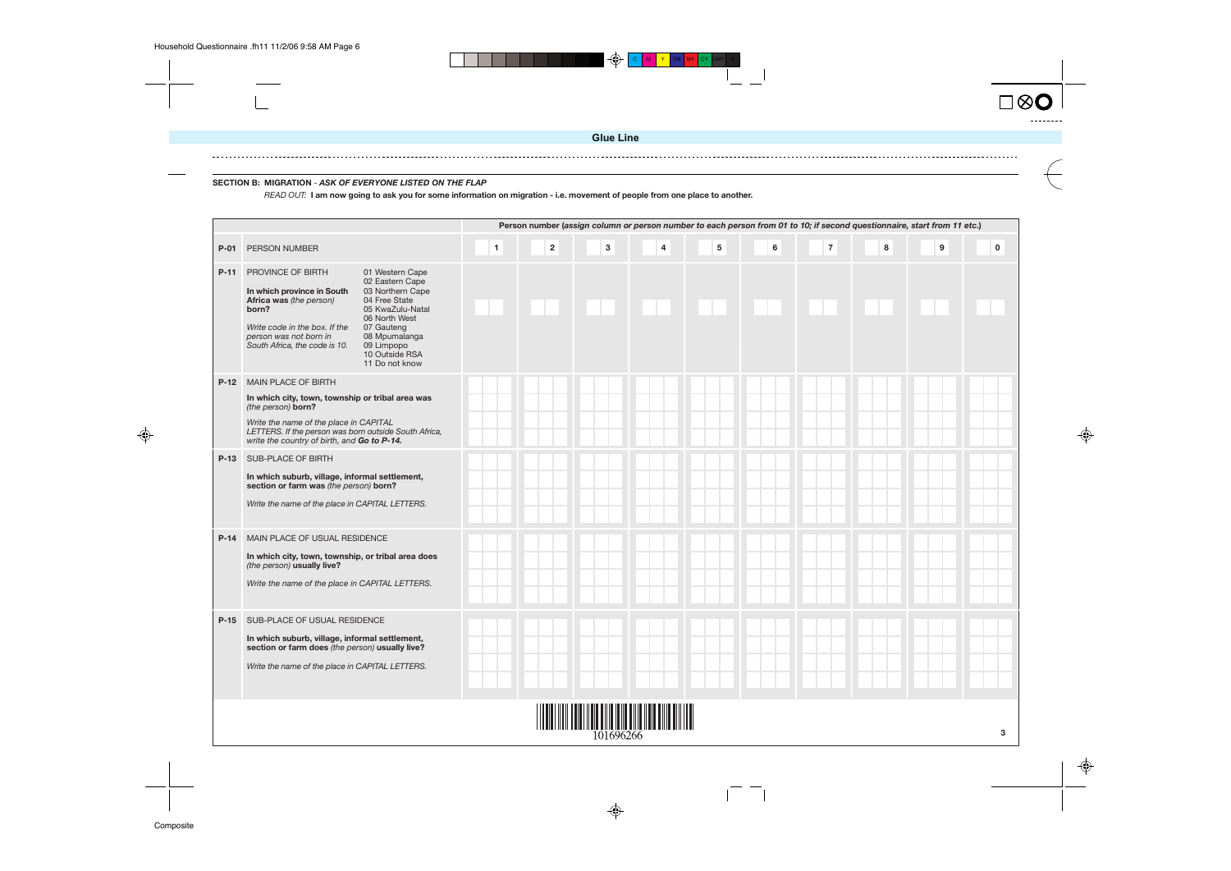## **Person number (assign column or person number to each person from 01 to 10; if second questionnaire, start from 11 etc.) P-01** PERSON NUMBER **1 2 3 4 5 6 7 8 9 0 P-11** PROVINCE OF BIRTH 01 Western Cape 02 Eastern Cape 03 Northern Cape **In which province in South Africa was** (the person) 04 Free State 05 KwaZulu-Natal **born?** 06 North West Write code in the box. If the 07 Gauteng person was not born in 08 Mpumalanga South Africa, the code is 10. 09 Limpopo 10 Outside RSA 11 Do not know **P-12** MAIN PLACE OF BIRTH **In which city, town, township or tribal area was** (the person) **born?** Write the name of the place in CAPITAL LETTERS. If the person was born outside South Africa, write the country of birth, and **Go to P-14. P-13** SUB-PLACE OF BIRTH **In which suburb, village, informal settlement, section or farm was** (the person) **born?** Write the name of the place in CAPITAL LETTERS. **P-14** MAIN PLACE OF USUAL RESIDENCE **In which city, town, township, or tribal area does** (the person) **usually live?** Write the name of the place in CAPITAL LETTERS. **P-15** SUB-PLACE OF USUAL RESIDENCE **In which suburb, village, informal settlement, section or farm does** (the person) **usually live?** Write the name of the place in CAPITAL LETTERS. <u> III Martin Amerikaanse konstantin (</u> 101696266

♦

 $\overline{1}$ 

 $\bigoplus$ 







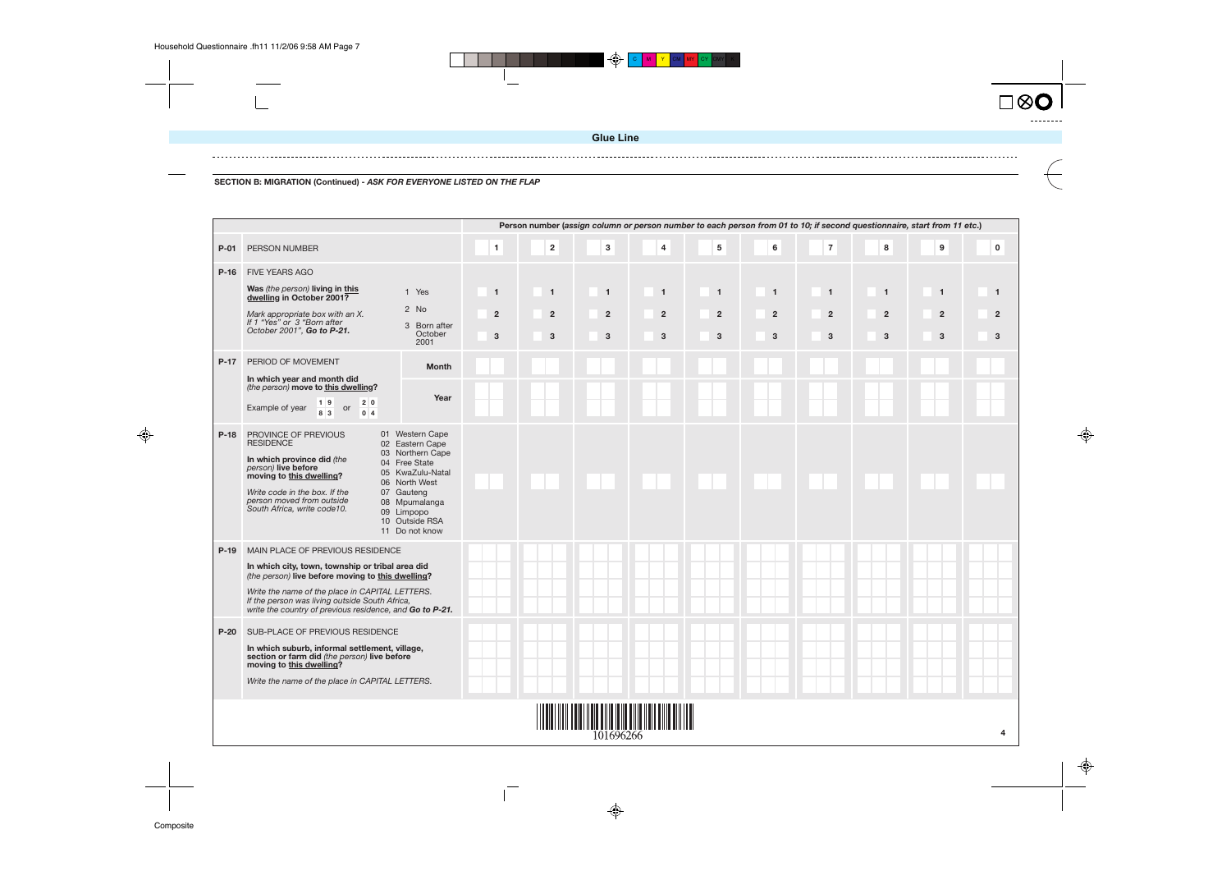

**SECTION B: MIGRATION (Continued) - ASK FOR EVERYONE LISTED ON THE FLAP**

|        | Person number (assign column or person number to each person from 01 to 10; if second questionnaire, start from 11 etc.)<br>$\overline{7}$<br>5<br>$\overline{2}$<br>3<br>$\overline{\mathbf{4}}$<br>6<br>8<br>9<br>$\mathbf{1}$<br>$\mathbf 0$<br>PERSON NUMBER                                           |                                                                                                                                                                                               |                                                  |                                     |                                       |                                       |                                                |                                       |                                     |                                     |                                                  |                                       |  |  |
|--------|------------------------------------------------------------------------------------------------------------------------------------------------------------------------------------------------------------------------------------------------------------------------------------------------------------|-----------------------------------------------------------------------------------------------------------------------------------------------------------------------------------------------|--------------------------------------------------|-------------------------------------|---------------------------------------|---------------------------------------|------------------------------------------------|---------------------------------------|-------------------------------------|-------------------------------------|--------------------------------------------------|---------------------------------------|--|--|
| $P-01$ |                                                                                                                                                                                                                                                                                                            |                                                                                                                                                                                               |                                                  |                                     |                                       |                                       |                                                |                                       |                                     |                                     |                                                  |                                       |  |  |
| $P-16$ | <b>FIVE YEARS AGO</b><br>Was (the person) living in this<br>dwelling in October 2001?<br>Mark appropriate box with an X.<br>If 1 "Yes" or 3 "Born after<br>October 2001", Go to P-21.                                                                                                                      | 1 Yes<br>2 No<br>3 Born after<br>October<br>2001                                                                                                                                              | $\overline{1}$<br>$\overline{2}$<br>$\mathbf{3}$ | $\mathbf{1}$<br>$\overline{2}$<br>3 | $\overline{1}$<br>$\overline{2}$<br>3 | $\overline{1}$<br>$\overline{2}$<br>3 | $\mathbf{1}$<br>$\overline{2}$<br>$\mathbf{3}$ | $\overline{1}$<br>$\overline{2}$<br>3 | $\mathbf{1}$<br>$\overline{2}$<br>3 | $\mathbf{1}$<br>$\overline{2}$<br>3 | $\overline{1}$<br>$\overline{2}$<br>$\mathbf{3}$ | $\overline{1}$<br>$\overline{2}$<br>3 |  |  |
| $P-17$ | PERIOD OF MOVEMENT<br>In which year and month did<br>(the person) move to this dwelling?<br>19<br>2 0<br>Example of year<br>or<br>8 3<br>0 <sub>4</sub>                                                                                                                                                    | <b>Month</b><br>Year                                                                                                                                                                          |                                                  |                                     |                                       |                                       |                                                |                                       |                                     |                                     |                                                  |                                       |  |  |
| $P-18$ | PROVINCE OF PREVIOUS<br><b>RESIDENCE</b><br>In which province did (the<br>person) live before<br>moving to this dwelling?<br>Write code in the box. If the<br>person moved from outside<br>South Africa, write code10.                                                                                     | 01 Western Cape<br>02 Eastern Cape<br>03 Northern Cape<br>04 Free State<br>05 KwaZulu-Natal<br>06 North West<br>07 Gauteng<br>08 Mpumalanga<br>09 Limpopo<br>10 Outside RSA<br>11 Do not know |                                                  |                                     |                                       |                                       |                                                |                                       |                                     |                                     |                                                  |                                       |  |  |
| $P-19$ | MAIN PLACE OF PREVIOUS RESIDENCE<br>In which city, town, township or tribal area did<br>(the person) live before moving to this dwelling?<br>Write the name of the place in CAPITAL LETTERS.<br>If the person was living outside South Africa,<br>write the country of previous residence, and Go to P-21. |                                                                                                                                                                                               |                                                  |                                     |                                       |                                       |                                                |                                       |                                     |                                     |                                                  |                                       |  |  |
| $P-20$ | SUB-PLACE OF PREVIOUS RESIDENCE<br>In which suburb, informal settlement, village,<br>section or farm did (the person) live before<br>moving to this dwelling?<br>Write the name of the place in CAPITAL LETTERS.                                                                                           |                                                                                                                                                                                               |                                                  |                                     |                                       |                                       |                                                |                                       |                                     |                                     |                                                  |                                       |  |  |
|        |                                                                                                                                                                                                                                                                                                            |                                                                                                                                                                                               |                                                  |                                     | 101696266                             |                                       |                                                |                                       |                                     |                                     |                                                  |                                       |  |  |

 $\sqrt{ }$ 

 $\bigoplus$ 







**Glue Line**

 $\bigoplus$ 

 $\mathbb{L}$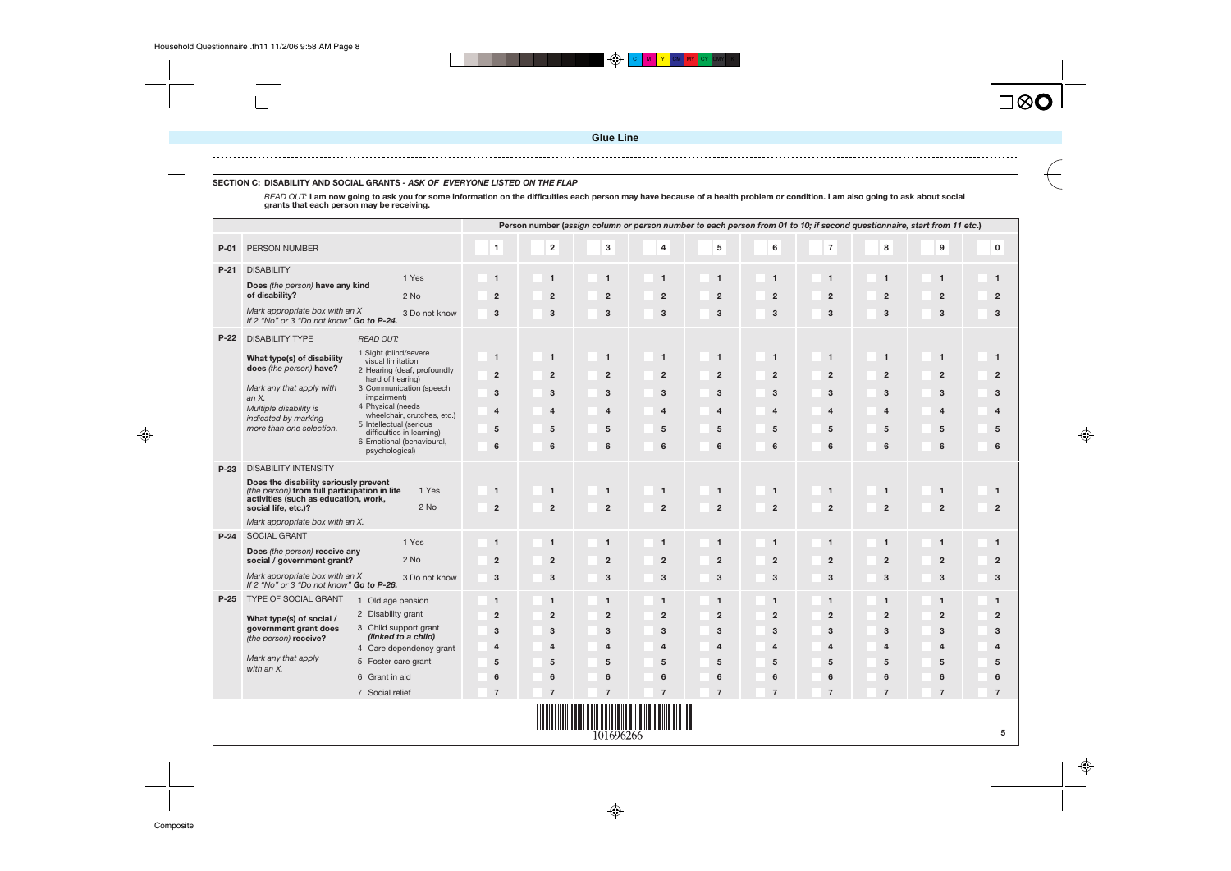

◈

 $\spadesuit$ 

|        | Person number (assign column or person number to each person from 01 to 10; if second questionnaire, start from 11 etc.)<br>$\mathbf{3}$<br>$\overline{\mathbf{5}}$<br>$\overline{\mathbf{7}}$<br>$\bf 8$<br>$\pmb{0}$<br>$\mathbf 2$<br>4<br>$\bf 6$<br>$\boldsymbol{9}$<br>$\mathbf{1}$<br>PERSON NUMBER |                                                        |                     |                           |                     |                         |                     |                      |                       |                     |                     |                     |  |  |  |
|--------|------------------------------------------------------------------------------------------------------------------------------------------------------------------------------------------------------------------------------------------------------------------------------------------------------------|--------------------------------------------------------|---------------------|---------------------------|---------------------|-------------------------|---------------------|----------------------|-----------------------|---------------------|---------------------|---------------------|--|--|--|
| P-01   |                                                                                                                                                                                                                                                                                                            |                                                        |                     |                           |                     |                         |                     |                      |                       |                     |                     |                     |  |  |  |
| $P-21$ | <b>DISABILITY</b>                                                                                                                                                                                                                                                                                          | 1 Yes                                                  | $\mathbf{1}$        | $\overline{1}$            | $\mathbf{1}$        | $\mathbf{1}$            | $\mathbf{1}$        | $\overline{1}$       | $\mathbf{1}$          | $\mathbf{1}$        | $\overline{1}$      | $\overline{1}$      |  |  |  |
|        | Does (the person) have any kind<br>of disability?                                                                                                                                                                                                                                                          |                                                        |                     |                           |                     |                         |                     |                      |                       |                     |                     |                     |  |  |  |
|        | Mark appropriate box with an X                                                                                                                                                                                                                                                                             | $2$ No                                                 | $\overline{2}$      | $\overline{2}$            | $\overline{2}$      | $\overline{2}$          | $\overline{2}$      | $\overline{2}$       | $\overline{2}$        | $\overline{2}$      | $\overline{2}$      | $\overline{2}$      |  |  |  |
|        | If 2 "No" or 3 "Do not know" Go to P-24.                                                                                                                                                                                                                                                                   | 3 Do not know                                          | 3                   | 3                         | 3                   | 3                       | 3                   | 3                    | 3                     | 3                   | 3                   | 3                   |  |  |  |
| $P-22$ | <b>DISABILITY TYPE</b>                                                                                                                                                                                                                                                                                     | <b>READ OUT:</b>                                       |                     |                           |                     |                         |                     |                      |                       |                     |                     |                     |  |  |  |
|        | What type(s) of disability                                                                                                                                                                                                                                                                                 | 1 Sight (blind/severe<br>visual limitation             | $\mathbf{1}$        | $\overline{1}$            | $\mathbf{1}$        | $\overline{1}$          | $\mathbf{1}$        | $\overline{1}$       | $\mathbf{1}$          | $\overline{1}$      | $\overline{1}$      | $\overline{1}$      |  |  |  |
|        | does (the person) have?                                                                                                                                                                                                                                                                                    | 2 Hearing (deaf, profoundly                            | $\overline{2}$      | $\overline{2}$            | $\overline{2}$      | $\overline{2}$          | $\overline{2}$      | $\overline{2}$       | $\overline{2}$        | $\overline{2}$      | $\overline{2}$      | $\overline{2}$      |  |  |  |
|        | Mark any that apply with                                                                                                                                                                                                                                                                                   | hard of hearing)<br>3 Communication (speech            | 3                   | 3                         | 3                   | 3                       | 3                   | 3                    | 3                     | 3                   | 3                   | 3                   |  |  |  |
|        | an $X$ .<br>Multiple disability is                                                                                                                                                                                                                                                                         | impairment)<br>4 Physical (needs                       |                     | 4                         | $\overline{4}$      |                         |                     | $\overline{4}$       | $\boldsymbol{\Delta}$ | $\overline{4}$      | $\overline{4}$      | $\overline{4}$      |  |  |  |
|        | indicated by marking                                                                                                                                                                                                                                                                                       | wheelchair, crutches, etc.)<br>5 Intellectual (serious | 4                   |                           |                     | 4                       | $\overline{4}$      |                      |                       |                     |                     |                     |  |  |  |
|        | more than one selection.                                                                                                                                                                                                                                                                                   | difficulties in learning)<br>6 Emotional (behavioural, | 5                   | 5                         | 5                   | 5                       | 5                   | $5\phantom{.0}$      | 5                     | 5                   | 5                   | $5\phantom{1}$      |  |  |  |
|        |                                                                                                                                                                                                                                                                                                            | psychological)                                         | 6                   | 6                         | 6                   | 6                       | 6                   | 6                    | 6                     | 6                   | 6                   | 6                   |  |  |  |
| $P-23$ | <b>DISABILITY INTENSITY</b>                                                                                                                                                                                                                                                                                |                                                        |                     |                           |                     |                         |                     |                      |                       |                     |                     |                     |  |  |  |
|        | Does the disability seriously prevent<br>(the person) from full participation in life                                                                                                                                                                                                                      | 1 Yes                                                  | $\mathbf{1}$        | $\overline{1}$            | $\mathbf{1}$        | $\mathbf{1}$            | $\mathbf{1}$        | $\overline{1}$       | $\mathbf{1}$          | $\mathbf{1}$        | $\mathbf{1}$        | $\overline{1}$      |  |  |  |
|        | activities (such as education, work,<br>social life, etc.)?                                                                                                                                                                                                                                                | $2$ No                                                 | $\mathbf{2}$        | $\overline{2}$            | $\overline{2}$      | $\overline{\mathbf{2}}$ | $\overline{2}$      | $\overline{2}$       | $\overline{2}$        | $\overline{2}$      | $\mathbf 2$         | $\overline{2}$      |  |  |  |
|        | Mark appropriate box with an X.                                                                                                                                                                                                                                                                            |                                                        |                     |                           |                     |                         |                     |                      |                       |                     |                     |                     |  |  |  |
| $P-24$ | <b>SOCIAL GRANT</b>                                                                                                                                                                                                                                                                                        | 1 Yes                                                  | $\mathbf{1}$        | $\overline{1}$            | $\mathbf{1}$        | $\overline{1}$          | $\mathbf{1}$        | $\overline{1}$       | $\mathbf{1}$          | $\mathbf{1}$        | $\mathbf{1}$        | $\overline{1}$      |  |  |  |
|        | Does (the person) receive any<br>social / government grant?                                                                                                                                                                                                                                                | 2 No                                                   | $\overline{2}$      | $\overline{2}$            | $\overline{2}$      | $\overline{2}$          | $\overline{2}$      | $\overline{2}$       | $\overline{2}$        | $\overline{2}$      | $\overline{2}$      | $\overline{2}$      |  |  |  |
|        | Mark appropriate box with an X                                                                                                                                                                                                                                                                             | 3 Do not know                                          | $\mathbf{3}$        | $\ensuremath{\mathsf{3}}$ | $\mathbf{3}$        | $\mathbf{3}$            | $\mathbf 3$         | $\mathbf 3$          | $\mathbf{3}$          | $\mathbf 3$         | $\mathbf 3$         | $\mathsf 3$         |  |  |  |
|        | If 2 "No" or 3 "Do not know" Go to P-26.                                                                                                                                                                                                                                                                   |                                                        |                     |                           |                     |                         |                     |                      |                       |                     |                     |                     |  |  |  |
| $P-25$ | TYPE OF SOCIAL GRANT                                                                                                                                                                                                                                                                                       | 1 Old age pension                                      | $\mathbf{1}$        | $\overline{1}$            | $\mathbf{1}$        | $\overline{1}$          | $\mathbf{1}$        | $\blacktriangleleft$ | $\mathbf{1}$          | $\mathbf{1}$        | $\overline{1}$      | $\mathbf{1}$        |  |  |  |
|        | What type(s) of social /                                                                                                                                                                                                                                                                                   | 2 Disability grant<br>3 Child support grant            | $\overline{2}$      | $\overline{2}$            | $\overline{2}$      | $\overline{2}$          | $\overline{2}$      | $\overline{2}$       | $\overline{2}$        | $\overline{2}$      | $\overline{2}$      | $\overline{2}$      |  |  |  |
|        | government grant does<br>(the person) receive?                                                                                                                                                                                                                                                             | (linked to a child)                                    | 3                   | 3                         | 3                   | 3                       | 3                   | $\mathbf{3}$         | 3                     | 3                   | 3                   | $\mathbf{3}$        |  |  |  |
|        | Mark any that apply                                                                                                                                                                                                                                                                                        | 4 Care dependency grant                                | $\overline{4}$      | $\overline{\mathbf{A}}$   | $\overline{4}$      | $\overline{\mathbf{4}}$ | $\overline{4}$      | $\overline{4}$       | $\overline{4}$        | $\overline{4}$      | $\overline{4}$      | $\overline{4}$      |  |  |  |
|        | with an X.                                                                                                                                                                                                                                                                                                 | 5 Foster care grant                                    | 5                   | 5                         | 5                   | 5                       | 5                   | $5\phantom{1}$       | 5                     | 5                   | 5                   | $5\phantom{1}$      |  |  |  |
|        |                                                                                                                                                                                                                                                                                                            | 6 Grant in aid                                         | 6<br>$\overline{7}$ | 6<br>$\overline{7}$       | 6<br>$\overline{7}$ | 6<br>$\overline{7}$     | 6<br>$\overline{7}$ | 6<br>$\overline{7}$  | 6<br>$\overline{ }$   | 6<br>$\overline{7}$ | 6<br>$\overline{7}$ | 6<br>$\overline{7}$ |  |  |  |
|        |                                                                                                                                                                                                                                                                                                            | 7 Social relief                                        |                     |                           |                     |                         |                     |                      |                       |                     |                     |                     |  |  |  |
|        |                                                                                                                                                                                                                                                                                                            |                                                        |                     |                           | 101696266           |                         |                     |                      |                       |                     |                     | 5                   |  |  |  |



### **SECTION C: DISABILITY AND SOCIAL GRANTS - ASK OF EVERYONE LISTED ON THE FLAP**

READ OUT: **I am now going to ask you for some information on the difficulties each person may have because of a health problem or condition. I am also going to ask about social grants that each person may be receiving.**

**Glue Line**

 $\bigoplus$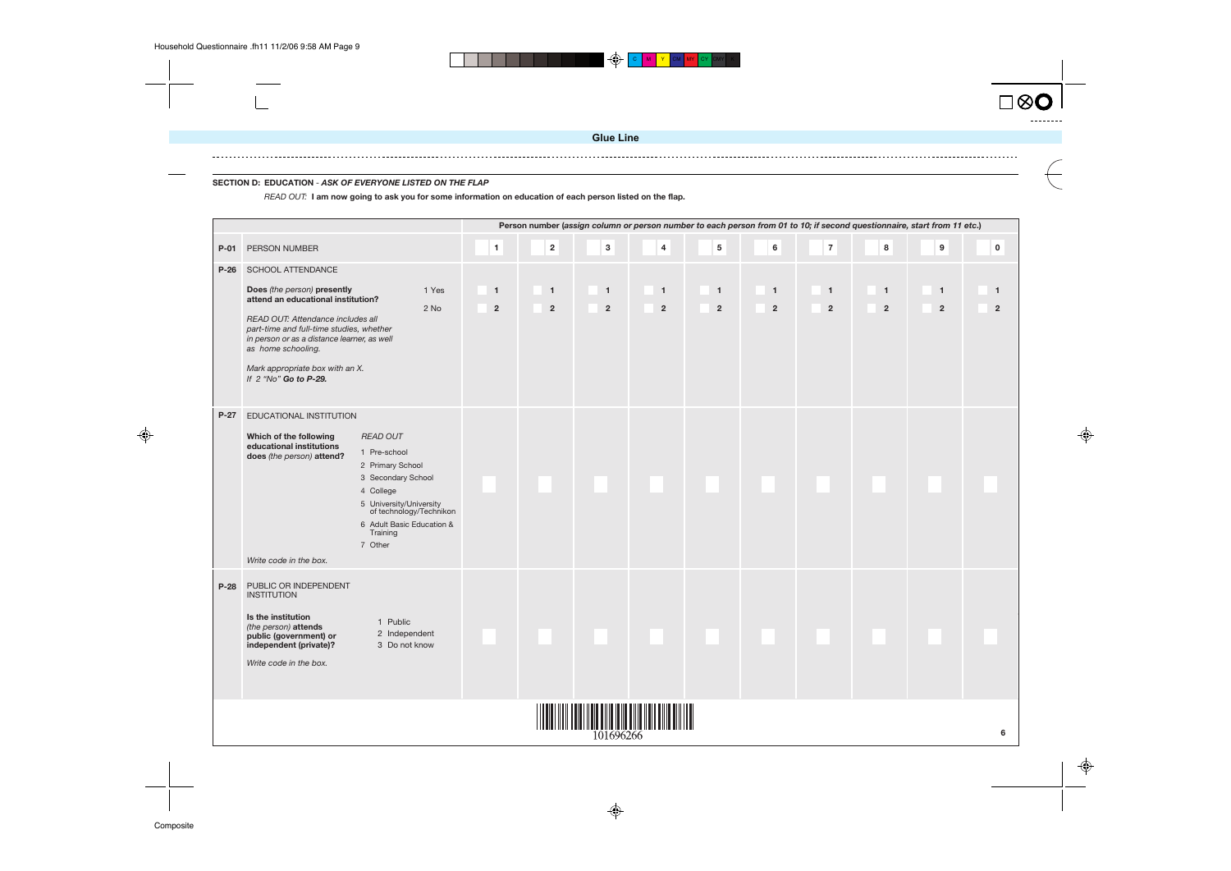



### **SECTION D: EDUCATION** - **ASK OF EVERYONE LISTED ON THE FLAP**

READ OUT: **I am now going to ask you for some information on education of each person listed on the flap.**

|        |                                                                                                                                                                                                                                                                                                          |                                                                                 |                                  |                                  |                                |                                         |                                |                                        |                                |                                | Person number (assign column or person number to each person from 01 to 10; if second questionnaire, start from 11 etc.) |                                |
|--------|----------------------------------------------------------------------------------------------------------------------------------------------------------------------------------------------------------------------------------------------------------------------------------------------------------|---------------------------------------------------------------------------------|----------------------------------|----------------------------------|--------------------------------|-----------------------------------------|--------------------------------|----------------------------------------|--------------------------------|--------------------------------|--------------------------------------------------------------------------------------------------------------------------|--------------------------------|
| $P-01$ | <b>PERSON NUMBER</b>                                                                                                                                                                                                                                                                                     |                                                                                 | $\mathbf{1}$                     | $\mathbf{2}$                     | $\mathbf 3$                    | $\overline{\mathbf{4}}$                 | $5\phantom{a}$                 | $\bf 6$                                | $\overline{7}$                 | 8                              | $\boldsymbol{9}$                                                                                                         | $\mathbf 0$                    |
| $P-26$ | SCHOOL ATTENDANCE<br>Does (the person) presently<br>attend an educational institution?<br>READ OUT: Attendance includes all<br>part-time and full-time studies, whether<br>in person or as a distance learner, as well<br>as home schooling.<br>Mark appropriate box with an X.<br>If 2 "No" Go to P-29. | 1 Yes<br>2 No                                                                   | $\overline{1}$<br>$\overline{2}$ | $\overline{1}$<br>$\overline{2}$ | $\mathbf{1}$<br>$\overline{2}$ | $\overline{1}$<br>$\overline{2}$        | $\mathbf{1}$<br>$\overline{2}$ | $\blacktriangleleft$<br>$\overline{2}$ | $\mathbf{1}$<br>$\overline{2}$ | $\mathbf{1}$<br>$\overline{2}$ | $\mathbf{1}$<br>$\overline{2}$                                                                                           | $\mathbf{1}$<br>$\overline{2}$ |
| $P-27$ | EDUCATIONAL INSTITUTION<br>Which of the following<br><b>READ OUT</b><br>educational institutions<br>1 Pre-school<br>does (the person) attend?<br>2 Primary School<br>3 Secondary School<br>4 College<br>Training<br>7 Other<br>Write code in the box.                                                    | 5 University/University<br>of technology/Technikon<br>6 Adult Basic Education & |                                  |                                  |                                |                                         |                                |                                        |                                |                                |                                                                                                                          |                                |
| $P-28$ | PUBLIC OR INDEPENDENT<br><b>INSTITUTION</b><br>Is the institution<br>1 Public<br>(the person) attends<br>public (government) or<br>independent (private)?<br>Write code in the box.                                                                                                                      | 2 Independent<br>3 Do not know                                                  |                                  |                                  |                                |                                         |                                |                                        |                                |                                |                                                                                                                          |                                |
|        |                                                                                                                                                                                                                                                                                                          |                                                                                 |                                  |                                  | 101696266                      | <u>  IIII IIII IIII IIII IIIIIIII I</u> |                                |                                        |                                |                                |                                                                                                                          |                                |

**Glue Line**

 $\bigoplus$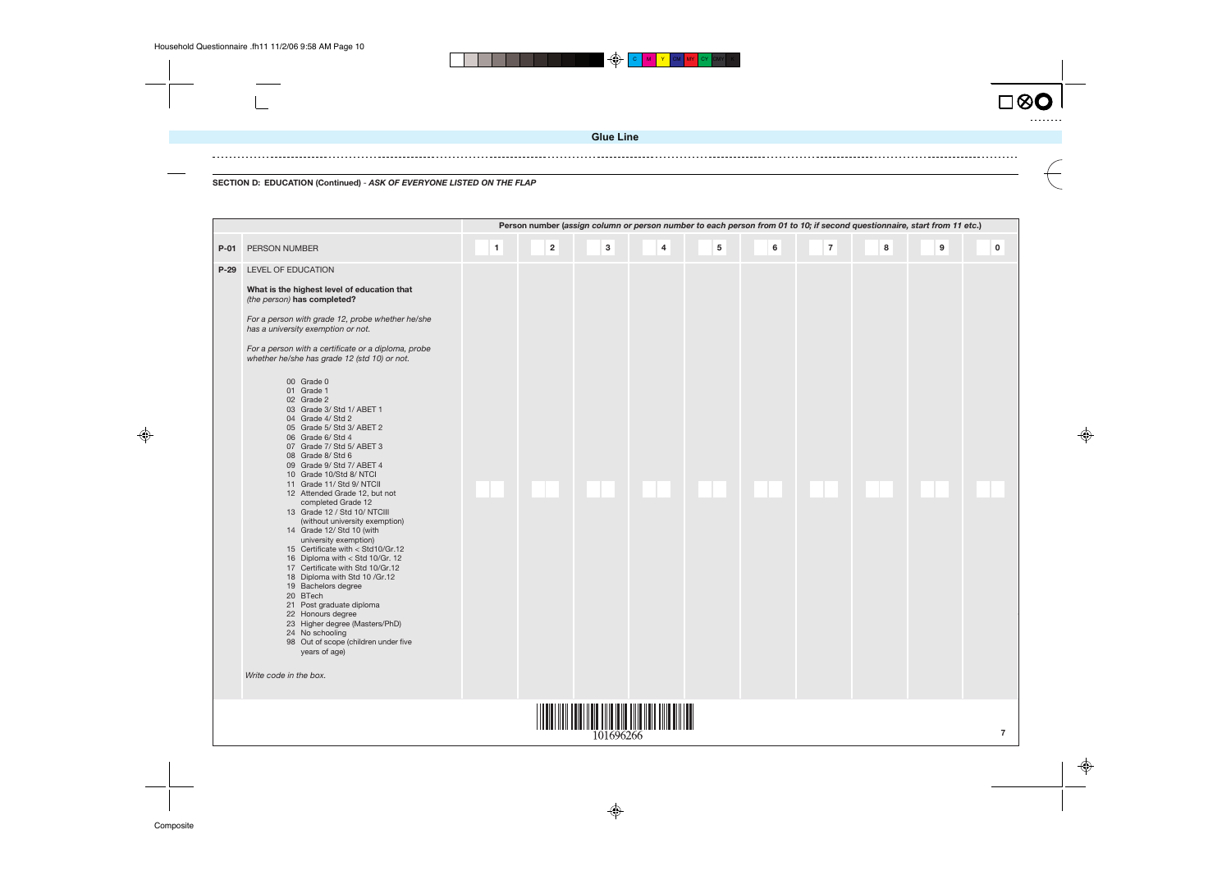$\bigoplus$ C **M I Y I** CM I MY I CY ICMYI K

 $\bigoplus$ 





**SECTION D: EDUCATION (Continued)** - **ASK OF EVERYONE LISTED ON THE FLAP**

|        | Person number (assign column or person number to each person from 01 to 10; if second questionnaire, start from 11 etc.)<br>$\overline{2}$<br>$\overline{\mathbf{4}}$<br>5<br>6<br>$\overline{7}$<br>8<br>3<br>$\mathbf{9}$<br>$\mathbf{1}$<br>$\mathbf 0$<br>PERSON NUMBER                                                                                                                                                                                                                                                                                                                                                                                                                                                                                                                                                                                                                                                                                                                                                                                                                                         |  |  |                                                                                                                                     |  |  |  |  |  |  |  |  |  |  |
|--------|---------------------------------------------------------------------------------------------------------------------------------------------------------------------------------------------------------------------------------------------------------------------------------------------------------------------------------------------------------------------------------------------------------------------------------------------------------------------------------------------------------------------------------------------------------------------------------------------------------------------------------------------------------------------------------------------------------------------------------------------------------------------------------------------------------------------------------------------------------------------------------------------------------------------------------------------------------------------------------------------------------------------------------------------------------------------------------------------------------------------|--|--|-------------------------------------------------------------------------------------------------------------------------------------|--|--|--|--|--|--|--|--|--|--|
| $P-01$ |                                                                                                                                                                                                                                                                                                                                                                                                                                                                                                                                                                                                                                                                                                                                                                                                                                                                                                                                                                                                                                                                                                                     |  |  |                                                                                                                                     |  |  |  |  |  |  |  |  |  |  |
| $P-29$ | LEVEL OF EDUCATION<br>What is the highest level of education that<br>(the person) has completed?<br>For a person with grade 12, probe whether he/she<br>has a university exemption or not.<br>For a person with a certificate or a diploma, probe<br>whether he/she has grade 12 (std 10) or not.<br>00 Grade 0<br>01 Grade 1<br>02 Grade 2<br>03 Grade 3/ Std 1/ ABET 1<br>04 Grade 4/ Std 2<br>05 Grade 5/ Std 3/ ABET 2<br>06 Grade 6/Std 4<br>07 Grade 7/ Std 5/ ABET 3<br>08 Grade 8/Std 6<br>09 Grade 9/ Std 7/ ABET 4<br>10 Grade 10/Std 8/ NTCl<br>11 Grade 11/ Std 9/ NTCII<br>12 Attended Grade 12, but not<br>completed Grade 12<br>13 Grade 12 / Std 10/ NTCIII<br>(without university exemption)<br>14 Grade 12/ Std 10 (with<br>university exemption)<br>15 Certificate with < Std10/Gr.12<br>16 Diploma with < Std 10/Gr. 12<br>17 Certificate with Std 10/Gr.12<br>18 Diploma with Std 10 / Gr.12<br>19 Bachelors degree<br>20 BTech<br>21 Post graduate diploma<br>22 Honours degree<br>23 Higher degree (Masters/PhD)<br>24 No schooling<br>98 Out of scope (children under five<br>years of age) |  |  |                                                                                                                                     |  |  |  |  |  |  |  |  |  |  |
|        | Write code in the box.                                                                                                                                                                                                                                                                                                                                                                                                                                                                                                                                                                                                                                                                                                                                                                                                                                                                                                                                                                                                                                                                                              |  |  |                                                                                                                                     |  |  |  |  |  |  |  |  |  |  |
|        |                                                                                                                                                                                                                                                                                                                                                                                                                                                                                                                                                                                                                                                                                                                                                                                                                                                                                                                                                                                                                                                                                                                     |  |  | <u> III maanda ka mid maalaa ka mid maalaa ka mid maalaa ka mid maalaa ka mid maalaa ka mid maalaa ka mid maalaa k</u><br>101696266 |  |  |  |  |  |  |  |  |  |  |

 $\bigoplus$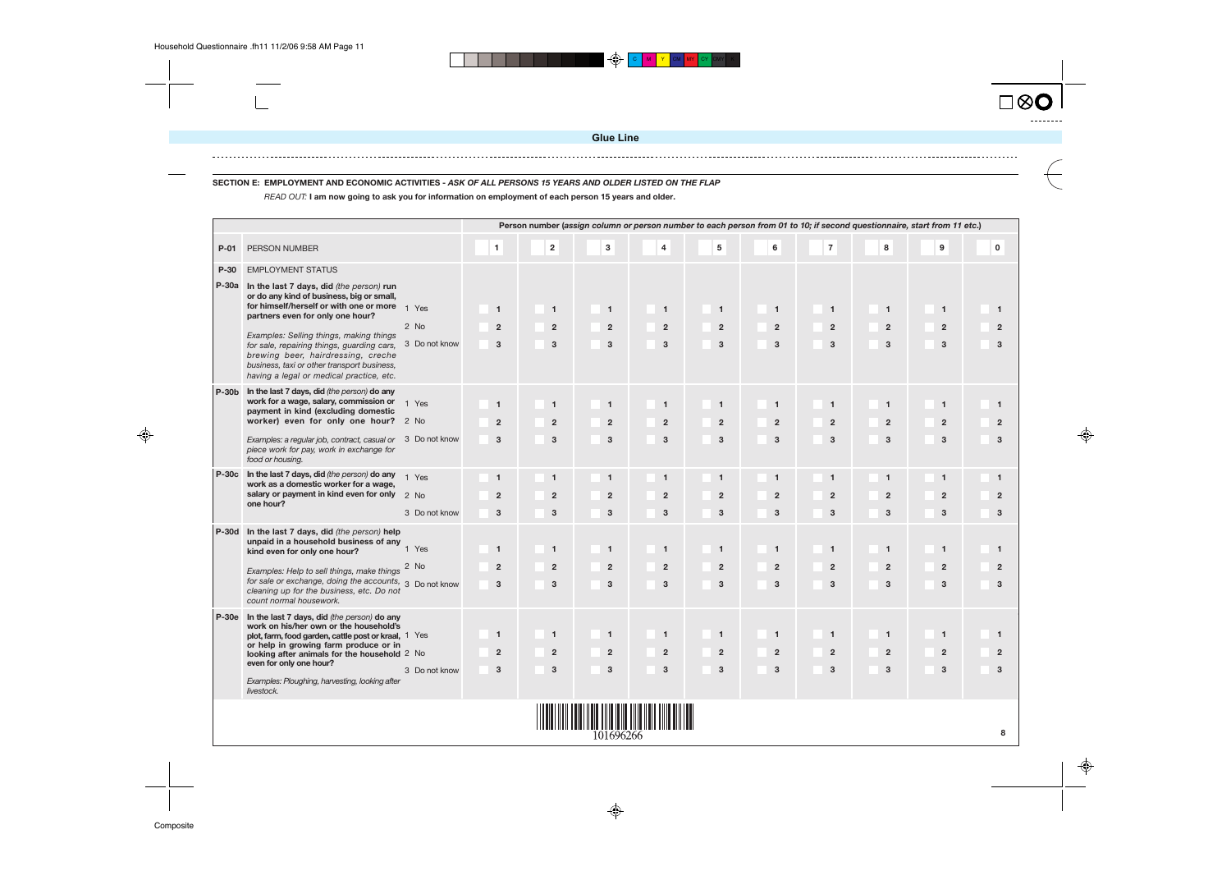

# **SECTION E: EMPLOYMENT AND ECONOMIC ACTIVITIES - ASK OF ALL PERSONS 15 YEARS AND OLDER LISTED ON THE FLAP**



⊕

 $\spadesuit$ 

READ OUT: **I am now going to ask you for information on employment of each person 15 years and older.**

|              |                                                                                                                                                                                                                                                                                                                                                                                                      |                                |                                                |                                                |                                                |                                     |                                       |                                     |                                                |                                                | Person number (assign column or person number to each person from 01 to 10; if second questionnaire, start from 11 etc.) |  |
|--------------|------------------------------------------------------------------------------------------------------------------------------------------------------------------------------------------------------------------------------------------------------------------------------------------------------------------------------------------------------------------------------------------------------|--------------------------------|------------------------------------------------|------------------------------------------------|------------------------------------------------|-------------------------------------|---------------------------------------|-------------------------------------|------------------------------------------------|------------------------------------------------|--------------------------------------------------------------------------------------------------------------------------|--|
| $P-01$       | PERSON NUMBER                                                                                                                                                                                                                                                                                                                                                                                        |                                | $\mathbf{1}$                                   | $\overline{\mathbf{2}}$                        | $\overline{3}$                                 | $\overline{4}$                      | $5\overline{5}$                       | $\bf 6$                             | $\overline{7}$                                 | 8                                              | 9                                                                                                                        |  |
| P-30         | <b>EMPLOYMENT STATUS</b>                                                                                                                                                                                                                                                                                                                                                                             |                                |                                                |                                                |                                                |                                     |                                       |                                     |                                                |                                                |                                                                                                                          |  |
|              | P-30a In the last 7 days, did (the person) run<br>or do any kind of business, big or small,<br>for himself/herself or with one or more<br>partners even for only one hour?<br>Examples: Selling things, making things<br>for sale, repairing things, guarding cars,<br>brewing beer, hairdressing, creche<br>business, taxi or other transport business,<br>having a legal or medical practice, etc. | 1 Yes<br>2 No<br>3 Do not know | $\overline{1}$<br>$\overline{2}$<br>3          | $\mathbf{1}$<br>$\overline{2}$<br>$\mathbf{3}$ | $\mathbf{1}$<br>$\overline{2}$<br>$\mathbf{3}$ | $\mathbf{1}$<br>$\overline{2}$<br>3 | $\mathbf{1}$<br>$\overline{2}$<br>3   | $\mathbf{1}$<br>$\overline{2}$<br>3 | $\mathbf{1}$<br>$\overline{2}$<br>3            | $\mathbf{1}$<br>$\overline{2}$<br>3            | $\overline{1}$<br>$\overline{2}$<br>3                                                                                    |  |
| $P-30b$      | In the last 7 days, did (the person) do any<br>work for a wage, salary, commission or $1 \text{ Yes}$<br>payment in kind (excluding domestic<br>worker) even for only one hour? 2 No<br>Examples: a regular job, contract, casual or 3 Do not know<br>piece work for pay, work in exchange for<br>food or housing.                                                                                   |                                | $\overline{\mathbf{1}}$<br>$\overline{2}$<br>3 | $\mathbf{1}$<br>$\overline{2}$<br>$\mathbf{3}$ | $\blacktriangleleft$<br>$\mathbf{2}$<br>3      | $\mathbf{1}$<br>$\overline{2}$<br>3 | $\mathbf{1}$<br>$\overline{2}$<br>3   | $\mathbf{1}$<br>$\overline{2}$<br>3 | $\mathbf{1}$<br>$\overline{2}$<br>3            | $\mathbf{1}$<br>$\overline{2}$<br>3            | $\blacksquare$<br>$\overline{2}$<br>3                                                                                    |  |
|              | P-30c In the last 7 days, did (the person) do any<br>work as a domestic worker for a wage,<br>salary or payment in kind even for only 2 No<br>one hour?                                                                                                                                                                                                                                              | 1 Yes<br>3 Do not know         | $\overline{1}$<br>$\overline{2}$<br>3          | $\mathbf{1}$<br>$\overline{2}$<br>3            | $\mathbf{1}$<br>$\overline{2}$<br>3            | $\mathbf{1}$<br>$\overline{2}$<br>3 | $\mathbf{1}$<br>$\overline{2}$<br>3   | $\mathbf{1}$<br>$\overline{2}$<br>3 | $\mathbf{1}$<br>$\overline{2}$<br>$\mathbf{3}$ | $\mathbf{1}$<br>$\overline{2}$<br>3            | $\overline{1}$<br>$\overline{2}$<br>3                                                                                    |  |
| <b>P-30d</b> | In the last 7 days, did (the person) help<br>unpaid in a household business of any<br>kind even for only one hour?<br>Examples: Help to sell things, make things<br>for sale or exchange, doing the accounts, 3 Do not know<br>cleaning up for the business, etc. Do not<br>count normal housework.                                                                                                  | 1 Yes<br>2 No                  | $\overline{1}$<br>$\overline{2}$<br>3          | $\mathbf{1}$<br>$\overline{2}$<br>$\mathbf{3}$ | $\overline{1}$<br>$\overline{2}$<br>3          | $\mathbf{1}$<br>$\overline{2}$<br>3 | $\mathbf{1}$<br>$\overline{2}$<br>3   | $\mathbf{1}$<br>$\overline{2}$<br>3 | $\mathbf{1}$<br>$\overline{2}$<br>$\mathbf{3}$ | $\mathbf{1}$<br>$\overline{2}$<br>3            | $\overline{1}$<br>$\overline{2}$<br>3                                                                                    |  |
| $P-30e$      | In the last 7 days, did (the person) do any<br>work on his/her own or the household's<br>plot, farm, food garden, cattle post or kraal, 1 Yes<br>or help in growing farm produce or in<br>looking after animals for the household 2 No<br>even for only one hour?<br>Examples: Ploughing, harvesting, looking after<br>livestock.                                                                    | 3 Do not know                  | $\overline{1}$<br>$\overline{2}$<br>3          | $\mathbf{1}$<br>$\overline{2}$<br>3            | $\mathbf{1}$<br>$\overline{2}$<br>3            | $\mathbf{1}$<br>$\overline{2}$<br>3 | $\overline{1}$<br>$\overline{2}$<br>3 | $\mathbf{1}$<br>$\overline{2}$<br>3 | $\mathbf{1}$<br>$\overline{2}$<br>$\mathbf{3}$ | $\mathbf{1}$<br>$\overline{2}$<br>$\mathbf{3}$ | $\overline{1}$<br>$\overline{2}$<br>3                                                                                    |  |
|              |                                                                                                                                                                                                                                                                                                                                                                                                      |                                |                                                |                                                |                                                |                                     |                                       |                                     |                                                |                                                |                                                                                                                          |  |

101696266

**Glue Line**

 $\Theta$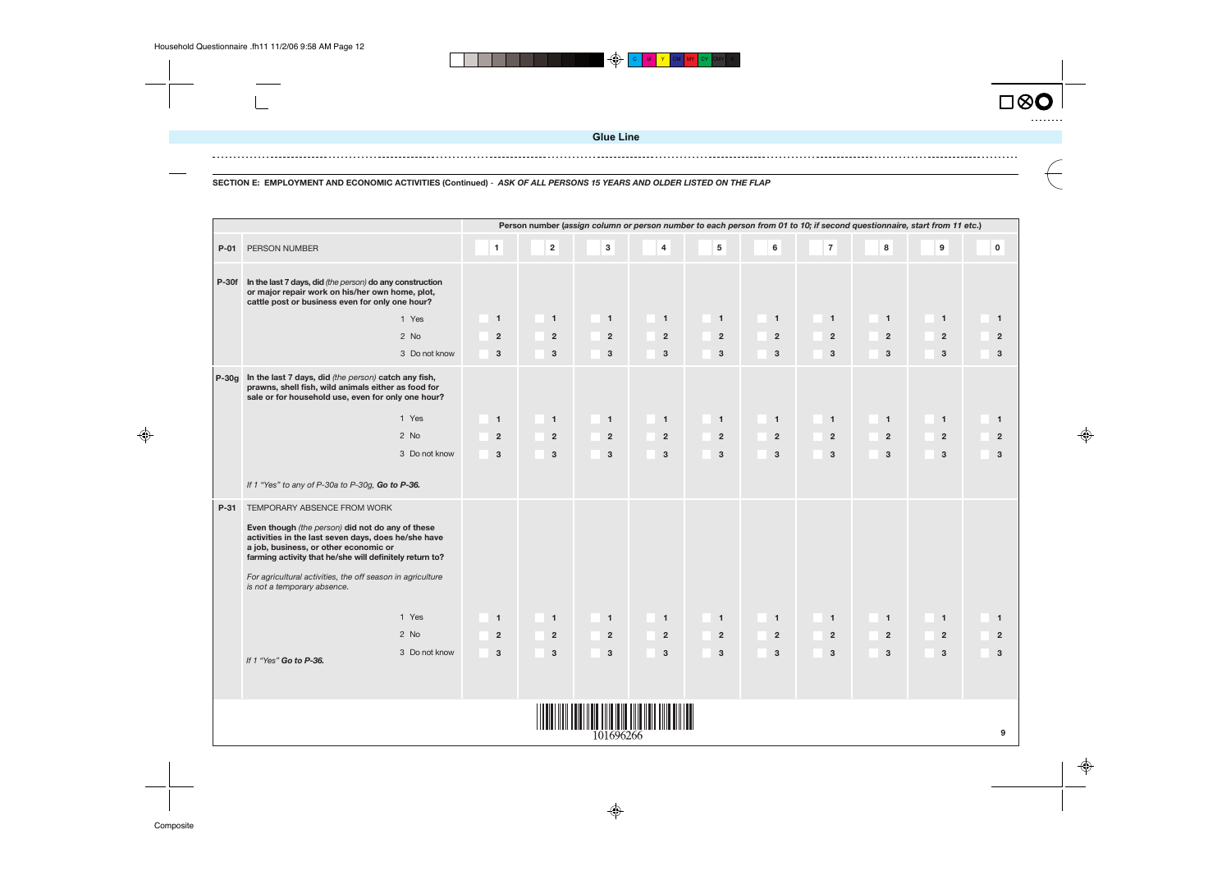$\blacktriangleright$   $\blacktriangleright$ 









**SECTION E: EMPLOYMENT AND ECONOMIC ACTIVITIES (Continued)** - **ASK OF ALL PERSONS 15 YEARS AND OLDER LISTED ON THE FLAP**

|         |                                                                                                                                                                                                                                                                                                                                         |                |                |                |                         |                |                |                |                | Person number (assign column or person number to each person from 01 to 10; if second questionnaire, start from 11 etc.) |          |
|---------|-----------------------------------------------------------------------------------------------------------------------------------------------------------------------------------------------------------------------------------------------------------------------------------------------------------------------------------------|----------------|----------------|----------------|-------------------------|----------------|----------------|----------------|----------------|--------------------------------------------------------------------------------------------------------------------------|----------|
| $P-01$  | PERSON NUMBER                                                                                                                                                                                                                                                                                                                           | $\mathbf{1}$   | $\mathbf{2}$   | $\mathbf{3}$   | $\overline{\mathbf{4}}$ | $5\phantom{a}$ | $6\phantom{a}$ | $\overline{7}$ | 8              | $\boldsymbol{9}$                                                                                                         | $\Omega$ |
|         | P-30f In the last 7 days, did (the person) do any construction<br>or major repair work on his/her own home, plot,<br>cattle post or business even for only one hour?                                                                                                                                                                    |                |                |                |                         |                |                |                |                |                                                                                                                          |          |
|         | 1 Yes                                                                                                                                                                                                                                                                                                                                   | $\mathbf{1}$   | $\mathbf{1}$   | $\blacksquare$ | $\overline{1}$          | $\mathbf{1}$   | $\overline{1}$ | $\mathbf{1}$   | $\mathbf{1}$   | $\blacksquare$                                                                                                           |          |
|         | 2 No                                                                                                                                                                                                                                                                                                                                    | $\overline{2}$ | $\overline{2}$ | $\overline{2}$ | $\overline{2}$          | $\overline{2}$ | $\overline{2}$ | $\overline{2}$ | $\overline{2}$ | $\overline{2}$                                                                                                           |          |
|         | 3 Do not know                                                                                                                                                                                                                                                                                                                           | $\mathbf{3}$   | $\mathbf{3}$   | $\mathbf{3}$   | $\mathbf{3}$            | $\mathbf{3}$   | $\mathbf{3}$   | $\mathbf{3}$   | $\mathbf{3}$   | $\mathbf{3}$                                                                                                             |          |
| $P-30q$ | In the last 7 days, did (the person) catch any fish,<br>prawns, shell fish, wild animals either as food for<br>sale or for household use, even for only one hour?                                                                                                                                                                       |                |                |                |                         |                |                |                |                |                                                                                                                          |          |
|         | 1 Yes                                                                                                                                                                                                                                                                                                                                   | $\mathbf{1}$   | $\mathbf{1}$   | $\overline{1}$ | $\overline{1}$          | $\mathbf{1}$   | $\overline{1}$ | $\mathbf{1}$   | $\mathbf{1}$   | $\overline{1}$                                                                                                           |          |
|         | 2 No                                                                                                                                                                                                                                                                                                                                    | $\overline{2}$ | $\overline{2}$ | $\overline{2}$ | $\overline{2}$          | $\overline{2}$ | $\overline{2}$ | $\overline{2}$ | $\overline{2}$ | $\overline{2}$                                                                                                           |          |
|         | 3 Do not know                                                                                                                                                                                                                                                                                                                           | $\mathbf{3}$   | 3              | $\mathbf{3}$   | $\mathbf{3}$            | $\mathbf{3}$   | 3              | $\mathbf{3}$   | $\mathbf{3}$   | $\mathbf{3}$                                                                                                             |          |
|         | If 1 "Yes" to any of P-30a to P-30g, Go to P-36.                                                                                                                                                                                                                                                                                        |                |                |                |                         |                |                |                |                |                                                                                                                          |          |
| $P-31$  | TEMPORARY ABSENCE FROM WORK<br>Even though (the person) did not do any of these<br>activities in the last seven days, does he/she have<br>a job, business, or other economic or<br>farming activity that he/she will definitely return to?<br>For agricultural activities, the off season in agriculture<br>is not a temporary absence. |                |                |                |                         |                |                |                |                |                                                                                                                          |          |
|         | 1 Yes                                                                                                                                                                                                                                                                                                                                   | $\mathbf{1}$   | $\mathbf{1}$   | $\blacksquare$ | $\overline{1}$          | $\mathbf{1}$   | $\overline{1}$ | $\overline{1}$ | $\mathbf{1}$   | $\blacksquare$                                                                                                           |          |
|         | 2 No                                                                                                                                                                                                                                                                                                                                    | $\overline{2}$ | $\overline{2}$ | $\overline{2}$ | $\overline{2}$          | $\overline{2}$ | $\mathbf 2$    | $\overline{2}$ | $\overline{2}$ | $\overline{2}$                                                                                                           |          |
|         | 3 Do not know<br>If 1 "Yes" Go to P-36.                                                                                                                                                                                                                                                                                                 | $\mathbf{3}$   | $\mathbf 3$    | $\mathbf{3}$   | $\mathbf{3}$            | $\mathbf{3}$   | $\mathbf 3$    | $\mathbf{3}$   | $\mathbf{3}$   | 3                                                                                                                        |          |
|         |                                                                                                                                                                                                                                                                                                                                         |                |                |                |                         |                |                |                |                |                                                                                                                          |          |
|         |                                                                                                                                                                                                                                                                                                                                         |                |                | 101696266      |                         |                |                |                |                |                                                                                                                          |          |

 $\bigoplus$ 

**Glue Line**

C **M I Y I** CM I MY I CY ICMYI K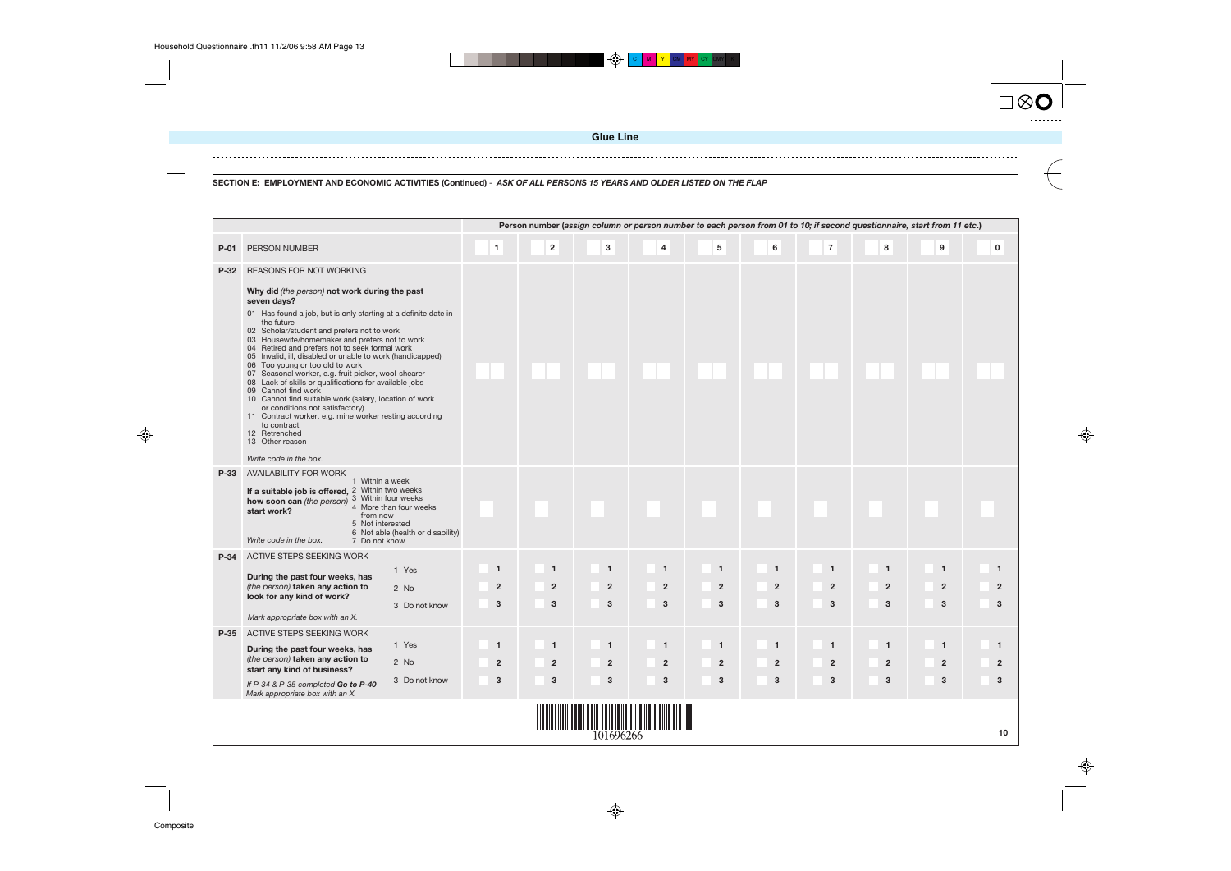| $\square \otimes {\bf O}$ |  |
|---------------------------|--|
|                           |  |
|                           |  |





**SECTION E: EMPLOYMENT AND ECONOMIC ACTIVITIES (Continued)** - **ASK OF ALL PERSONS 15 YEARS AND OLDER LISTED ON THE FLAP**

|        | Person number (assign column or person number to each person from 01 to 10; if second questionnaire, start from 11 etc.)<br>5<br>$\mathbf{3}$<br>$\bf 6$<br>$\overline{7}$<br>8<br>9<br>$\pmb{0}$<br>$\mathbf{1}$<br>$\overline{\mathbf{2}}$<br>$\overline{4}$<br>PERSON NUMBER                                                                                                                                                                                                                                                                                                                                                                                                                                                                                                                       |                                     |                                                |                                                  |                                                |                                                  |                                     |                                                  |                                                  |                                                |                                                |  |  |  |  |
|--------|-------------------------------------------------------------------------------------------------------------------------------------------------------------------------------------------------------------------------------------------------------------------------------------------------------------------------------------------------------------------------------------------------------------------------------------------------------------------------------------------------------------------------------------------------------------------------------------------------------------------------------------------------------------------------------------------------------------------------------------------------------------------------------------------------------|-------------------------------------|------------------------------------------------|--------------------------------------------------|------------------------------------------------|--------------------------------------------------|-------------------------------------|--------------------------------------------------|--------------------------------------------------|------------------------------------------------|------------------------------------------------|--|--|--|--|
| $P-01$ |                                                                                                                                                                                                                                                                                                                                                                                                                                                                                                                                                                                                                                                                                                                                                                                                       |                                     |                                                |                                                  |                                                |                                                  |                                     |                                                  |                                                  |                                                |                                                |  |  |  |  |
| $P-32$ | REASONS FOR NOT WORKING<br>Why did (the person) not work during the past<br>seven days?<br>01 Has found a job, but is only starting at a definite date in<br>the future<br>02 Scholar/student and prefers not to work<br>03 Housewife/homemaker and prefers not to work<br>04 Retired and prefers not to seek formal work<br>05 Invalid, ill, disabled or unable to work (handicapped)<br>06 Too young or too old to work<br>07 Seasonal worker, e.g. fruit picker, wool-shearer<br>08 Lack of skills or qualifications for available jobs<br>09 Cannot find work<br>10 Cannot find suitable work (salary, location of work<br>or conditions not satisfactory)<br>11 Contract worker, e.g. mine worker resting according<br>to contract<br>12 Retrenched<br>13 Other reason<br>Write code in the box. |                                     |                                                |                                                  |                                                |                                                  |                                     |                                                  |                                                  |                                                |                                                |  |  |  |  |
| P-33   | AVAILABILITY FOR WORK<br>1 Within a week<br>If a suitable job is offered, 2 Within two weeks<br>3 Within four weeks<br>how soon can (the person)<br>4 More than four weeks<br>start work?<br>from now<br>5 Not interested<br>6 Not able (health or disability)<br>Write code in the box.<br>7 Do not know                                                                                                                                                                                                                                                                                                                                                                                                                                                                                             |                                     |                                                |                                                  |                                                |                                                  |                                     |                                                  |                                                  |                                                |                                                |  |  |  |  |
| $P-34$ | ACTIVE STEPS SEEKING WORK<br>1 Yes<br>During the past four weeks, has<br>(the person) taken any action to<br>2 No<br>look for any kind of work?<br>3 Do not know<br>Mark appropriate box with an X.                                                                                                                                                                                                                                                                                                                                                                                                                                                                                                                                                                                                   | $\mathbf{1}$<br>$\overline{2}$<br>3 | $\mathbf{1}$<br>$\overline{2}$<br>$\mathbf{3}$ | $\overline{1}$<br>$\overline{2}$<br>$\mathbf{3}$ | $\mathbf{1}$<br>$\overline{2}$<br>$\mathbf{3}$ | $\overline{1}$<br>$\overline{2}$<br>$\mathbf{3}$ | $\mathbf{1}$<br>$\overline{2}$<br>3 | $\overline{1}$<br>$\overline{2}$<br>$\mathbf{3}$ | $\overline{1}$<br>$\overline{2}$<br>$\mathbf{3}$ | $\overline{\mathbf{1}}$<br>$\overline{2}$<br>3 | $\mathbf{1}$<br>$\overline{2}$<br>3            |  |  |  |  |
| $P-35$ | ACTIVE STEPS SEEKING WORK<br>1 Yes<br>During the past four weeks, has<br>(the person) taken any action to<br>2 No<br>start any kind of business?<br>3 Do not know<br>If P-34 & P-35 completed Go to P-40<br>Mark appropriate box with an X.                                                                                                                                                                                                                                                                                                                                                                                                                                                                                                                                                           | $\mathbf{1}$<br>$\overline{2}$<br>3 | $\mathbf{1}$<br>$\overline{2}$<br>$\mathbf{3}$ | $\mathbf{1}$<br>$\overline{2}$<br>3              | $\mathbf{1}$<br>$\overline{2}$<br>3            | $\overline{1}$<br>$\overline{2}$<br>3            | $\mathbf{1}$<br>$\overline{2}$<br>3 | $\overline{1}$<br>$\overline{2}$<br>3            | $\overline{1}$<br>$\overline{2}$<br>3            | $\overline{1}$<br>$\overline{2}$<br>3          | $\mathbf{1}$<br>$\overline{2}$<br>$\mathbf{3}$ |  |  |  |  |
|        |                                                                                                                                                                                                                                                                                                                                                                                                                                                                                                                                                                                                                                                                                                                                                                                                       |                                     |                                                | 101696266                                        |                                                |                                                  |                                     |                                                  |                                                  |                                                | 10                                             |  |  |  |  |

♦

**Glue Line**

**C M Y CM MY** CY CMY K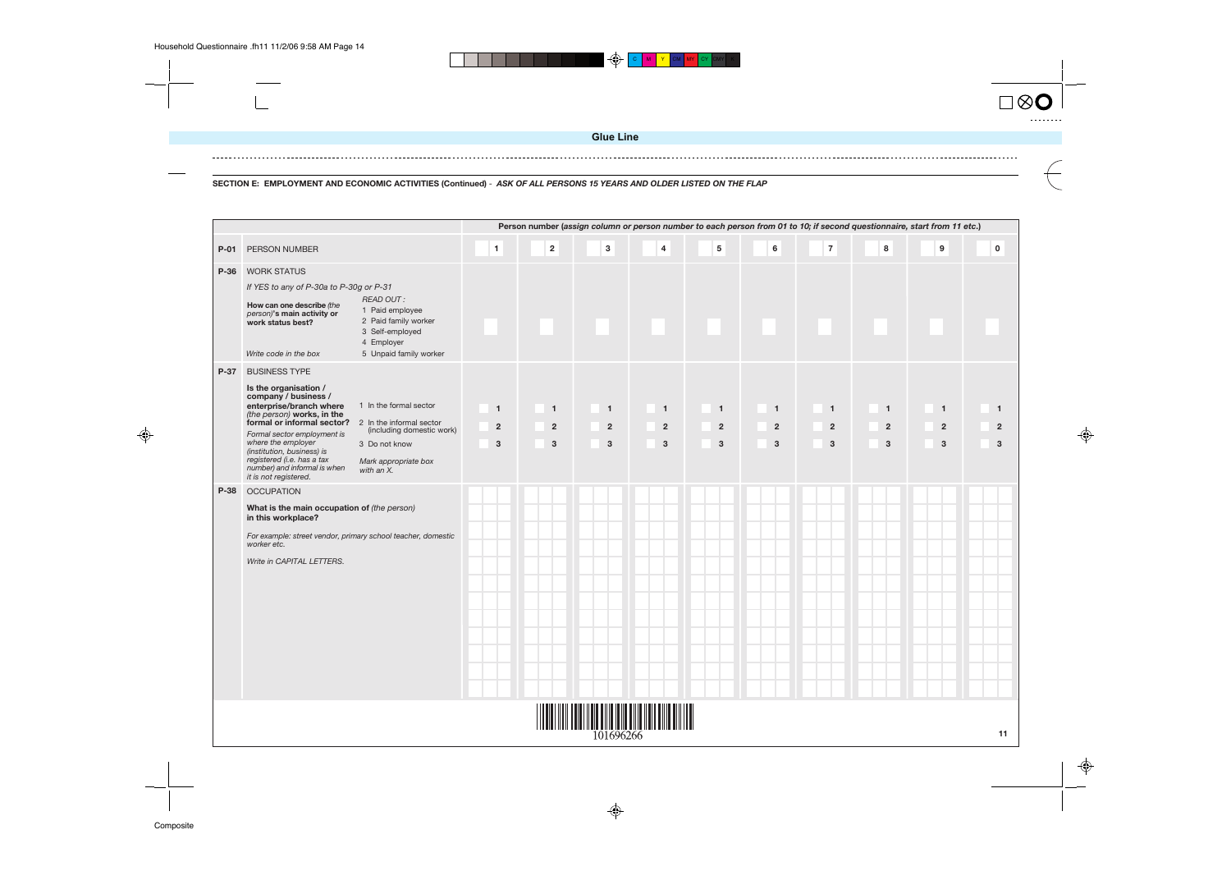

**SECTION E: EMPLOYMENT AND ECONOMIC ACTIVITIES (Continued)** - **ASK OF ALL PERSONS 15 YEARS AND OLDER LISTED ON THE FLAP**

| from 11 etc.)           |                         |
|-------------------------|-------------------------|
| 9                       | $\mathbf 0$             |
|                         |                         |
|                         |                         |
|                         |                         |
|                         |                         |
|                         |                         |
|                         |                         |
| 1                       | 1                       |
| $\overline{\mathbf{c}}$ | $\overline{\mathbf{c}}$ |
| 3                       | 3                       |
|                         |                         |
|                         |                         |
|                         |                         |
|                         |                         |
|                         |                         |
|                         |                         |
|                         |                         |
|                         |                         |
|                         |                         |
|                         |                         |
|                         |                         |
|                         |                         |
|                         |                         |
|                         | 11                      |





|        |                                                                                                                                                                                                                                                                                                                                                                                                                                                                               |                                                  |                                     |                                       |                                     |                                       |                                                |                                                             |                                     | Person number (assign column or person number to each person from 01 to 10; if second questionnaire, start from 11 etc.) |             |
|--------|-------------------------------------------------------------------------------------------------------------------------------------------------------------------------------------------------------------------------------------------------------------------------------------------------------------------------------------------------------------------------------------------------------------------------------------------------------------------------------|--------------------------------------------------|-------------------------------------|---------------------------------------|-------------------------------------|---------------------------------------|------------------------------------------------|-------------------------------------------------------------|-------------------------------------|--------------------------------------------------------------------------------------------------------------------------|-------------|
| $P-01$ | PERSON NUMBER                                                                                                                                                                                                                                                                                                                                                                                                                                                                 | $\mathbf{1}$                                     | $\mathbf 2$                         | 3                                     | $\overline{\mathbf{4}}$             | ${\bf 5}$                             | $\bf 6$                                        | $\overline{\mathbf{7}}$                                     | $\bf8$                              | $\boldsymbol{9}$                                                                                                         | $\mathbf 0$ |
| P-36   | <b>WORK STATUS</b><br>If YES to any of P-30a to P-30g or P-31<br><b>READ OUT:</b><br>How can one describe (the<br>1 Paid employee<br>person)'s main activity or<br>2 Paid family worker<br>work status best?<br>3 Self-employed<br>4 Employer<br>Write code in the box<br>5 Unpaid family worker                                                                                                                                                                              |                                                  |                                     |                                       |                                     |                                       |                                                |                                                             |                                     |                                                                                                                          |             |
| P-37   | <b>BUSINESS TYPE</b><br>Is the organisation /<br>company / business /<br>1 In the formal sector<br>enterprise/branch where<br>(the person) works, in the<br>formal or informal sector? 2 In the informal sector<br>(including domestic work)<br>Formal sector employment is<br>where the employer<br>3 Do not know<br>(institution, business) is<br>registered (i.e. has a tax<br>Mark appropriate box<br>number) and informal is when<br>with an X.<br>it is not registered. | $\overline{1}$<br>$\overline{2}$<br>$\mathbf{3}$ | $\mathbf{1}$<br>$\overline{2}$<br>3 | $\overline{1}$<br>$\overline{2}$<br>3 | $\mathbf{1}$<br>$\overline{2}$<br>3 | $\overline{1}$<br>$\overline{2}$<br>3 | $\mathbf{1}$<br>$\overline{2}$<br>$\mathbf{3}$ | $\mathbf{1}$<br>$\overline{2}$<br>$\ensuremath{\mathsf{3}}$ | $\mathbf{1}$<br>$\overline{2}$<br>3 | $\blacksquare$<br>$\overline{2}$<br>3                                                                                    |             |
| P-38   | <b>OCCUPATION</b><br>What is the main occupation of (the person)<br>in this workplace?<br>For example: street vendor, primary school teacher, domestic<br>worker etc.<br>Write in CAPITAL LETTERS.                                                                                                                                                                                                                                                                            |                                                  |                                     |                                       |                                     |                                       |                                                |                                                             |                                     |                                                                                                                          |             |
|        | 101696266                                                                                                                                                                                                                                                                                                                                                                                                                                                                     |                                                  |                                     |                                       |                                     |                                       |                                                |                                                             |                                     |                                                                                                                          |             |

♦

**Glue Line**

 $\bigoplus$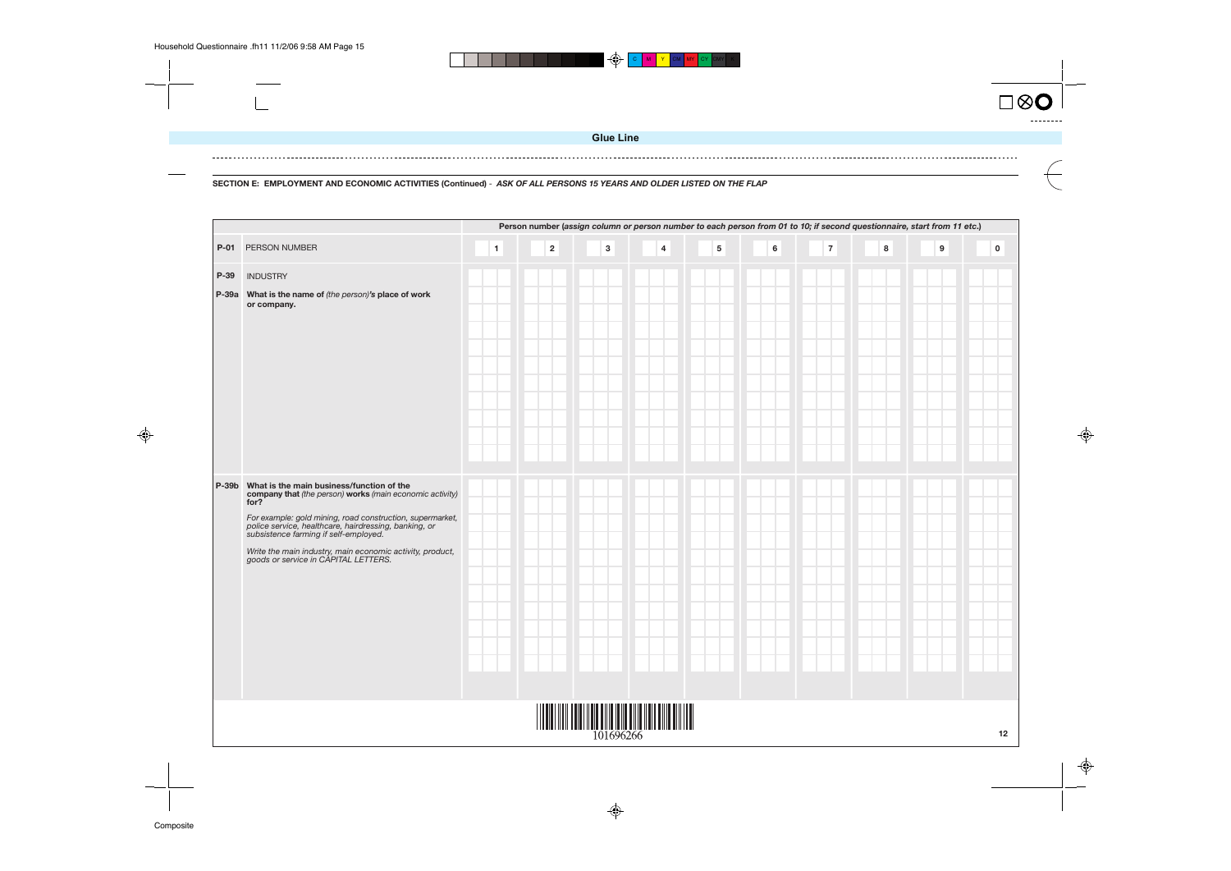$\bigoplus$ C **M I Y I** CM I MY I CY ICMYI K

Composite

 $\bigoplus$ 



![](_page_14_Picture_7.jpeg)

![](_page_14_Figure_8.jpeg)

**SECTION E: EMPLOYMENT AND ECONOMIC ACTIVITIES (Continued)** - **ASK OF ALL PERSONS 15 YEARS AND OLDER LISTED ON THE FLAP**

|      |                                                                                                                                                                                                                                                                                                                                                                                         |              |             |             | Person number (assign column or person number to each person from 01 to 10; if second questionnaire, start from 11 etc.) |           |         |                         |   |                  |             |
|------|-----------------------------------------------------------------------------------------------------------------------------------------------------------------------------------------------------------------------------------------------------------------------------------------------------------------------------------------------------------------------------------------|--------------|-------------|-------------|--------------------------------------------------------------------------------------------------------------------------|-----------|---------|-------------------------|---|------------------|-------------|
|      | P-01 PERSON NUMBER                                                                                                                                                                                                                                                                                                                                                                      | $\mathbf{1}$ | $\mathbf 2$ | $\mathbf 3$ | $\overline{\mathbf{4}}$                                                                                                  | ${\bf 5}$ | $\bf 6$ | $\overline{\mathbf{7}}$ | 8 | $\boldsymbol{9}$ | $\mathbf 0$ |
| P-39 | <b>INDUSTRY</b><br>P-39a What is the name of (the person)'s place of work<br>or company.                                                                                                                                                                                                                                                                                                |              |             |             |                                                                                                                          |           |         |                         |   |                  |             |
|      | P-39b What is the main business/function of the<br>company that (the person) works (main economic activity)<br>for?<br>For example: gold mining, road construction, supermarket,<br>police service, healthcare, hairdressing, banking, or<br>subsistence farming if self-employed.<br>Write the main industry, main economic activity, product,<br>goods or service in CAPITAL LETTERS. |              |             |             |                                                                                                                          |           |         |                         |   |                  |             |
|      |                                                                                                                                                                                                                                                                                                                                                                                         |              |             | 101696266   |                                                                                                                          |           |         |                         |   |                  | 12          |

♦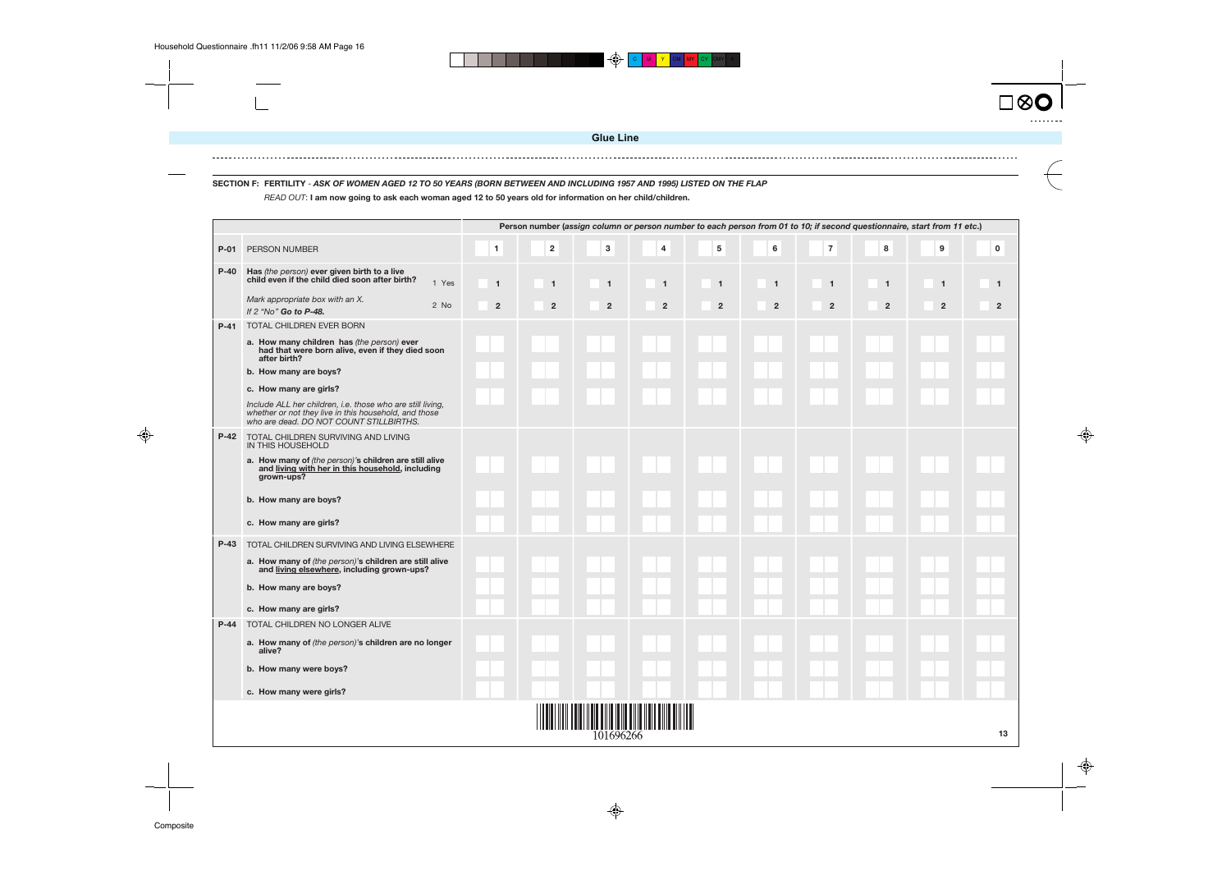![](_page_15_Picture_5.jpeg)

**13**

**SECTION F: FERTILITY** - **ASK OF WOMEN AGED 12 TO 50 YEARS (BORN BETWEEN AND INCLUDING 1957 AND 1995) LISTED ON THE FLAP** READ OUT: **I am now going to ask each woman aged 12 to 50 years old for information on her child/children.**

| $\boldsymbol{2}$<br>3<br>5<br>6<br>$\overline{7}$<br>8<br>9<br>$\overline{\mathbf{4}}$<br>1<br>$P-01$<br>PERSON NUMBER<br>$P-40$<br>Has (the person) ever given birth to a live<br>child even if the child died soon after birth?<br>1 Yes<br>$\mathbf{1}$<br>$\overline{1}$<br>$\overline{1}$<br>$\mathbf{1}$<br>$\overline{1}$<br>$\mathbf{1}$<br>$\mathbf{1}$<br>$\mathbf{1}$<br>$\mathbf{1}$<br>Mark appropriate box with an X.<br>2 No<br>$\mathbf 2$<br>$\mathbf 2$<br>$\overline{\mathbf{c}}$<br>$\mathbf 2$<br>$\mathbf 2$<br>$\mathbf 2$<br>$\overline{\mathbf{2}}$<br>$\mathbf 2$<br>$\overline{\mathbf{c}}$<br>If 2 "No" Go to P-48.<br>TOTAL CHILDREN EVER BORN<br>$P-41$<br>a. How many children has (the person) ever<br>had that were born alive, even if they died soon<br>after birth?<br>b. How many are boys?<br>c. How many are girls?<br>Include ALL her children, i.e. those who are still living,<br>whether or not they live in this household, and those<br>who are dead. DO NOT COUNT STILLBIRTHS.<br>TOTAL CHILDREN SURVIVING AND LIVING<br>$P-42$<br>IN THIS HOUSEHOLD<br>a. How many of (the person)'s children are still alive<br>and living with her in this household, including<br>grown-ups?<br>b. How many are boys?<br>c. How many are girls?<br>$P-43$<br>TOTAL CHILDREN SURVIVING AND LIVING ELSEWHERE<br>a. How many of (the person)'s children are still alive<br>and living elsewhere, including grown-ups?<br>b. How many are boys?<br>c. How many are girls?<br>TOTAL CHILDREN NO LONGER ALIVE<br>$P-44$<br>a. How many of (the person)'s children are no longer<br>alive?<br>b. How many were boys?<br>c. How many were girls? |           |  |  |  |  |  | Person number (assign column or person number to each person from 01 to 10; if second questionnaire, start from 11 etc.) |  |             |
|----------------------------------------------------------------------------------------------------------------------------------------------------------------------------------------------------------------------------------------------------------------------------------------------------------------------------------------------------------------------------------------------------------------------------------------------------------------------------------------------------------------------------------------------------------------------------------------------------------------------------------------------------------------------------------------------------------------------------------------------------------------------------------------------------------------------------------------------------------------------------------------------------------------------------------------------------------------------------------------------------------------------------------------------------------------------------------------------------------------------------------------------------------------------------------------------------------------------------------------------------------------------------------------------------------------------------------------------------------------------------------------------------------------------------------------------------------------------------------------------------------------------------------------------------------------------------------------------------------------------------------------------------------------------------|-----------|--|--|--|--|--|--------------------------------------------------------------------------------------------------------------------------|--|-------------|
|                                                                                                                                                                                                                                                                                                                                                                                                                                                                                                                                                                                                                                                                                                                                                                                                                                                                                                                                                                                                                                                                                                                                                                                                                                                                                                                                                                                                                                                                                                                                                                                                                                                                            |           |  |  |  |  |  |                                                                                                                          |  | $\mathbf 0$ |
|                                                                                                                                                                                                                                                                                                                                                                                                                                                                                                                                                                                                                                                                                                                                                                                                                                                                                                                                                                                                                                                                                                                                                                                                                                                                                                                                                                                                                                                                                                                                                                                                                                                                            |           |  |  |  |  |  |                                                                                                                          |  |             |
|                                                                                                                                                                                                                                                                                                                                                                                                                                                                                                                                                                                                                                                                                                                                                                                                                                                                                                                                                                                                                                                                                                                                                                                                                                                                                                                                                                                                                                                                                                                                                                                                                                                                            |           |  |  |  |  |  |                                                                                                                          |  |             |
|                                                                                                                                                                                                                                                                                                                                                                                                                                                                                                                                                                                                                                                                                                                                                                                                                                                                                                                                                                                                                                                                                                                                                                                                                                                                                                                                                                                                                                                                                                                                                                                                                                                                            |           |  |  |  |  |  |                                                                                                                          |  |             |
|                                                                                                                                                                                                                                                                                                                                                                                                                                                                                                                                                                                                                                                                                                                                                                                                                                                                                                                                                                                                                                                                                                                                                                                                                                                                                                                                                                                                                                                                                                                                                                                                                                                                            |           |  |  |  |  |  |                                                                                                                          |  |             |
|                                                                                                                                                                                                                                                                                                                                                                                                                                                                                                                                                                                                                                                                                                                                                                                                                                                                                                                                                                                                                                                                                                                                                                                                                                                                                                                                                                                                                                                                                                                                                                                                                                                                            |           |  |  |  |  |  |                                                                                                                          |  |             |
|                                                                                                                                                                                                                                                                                                                                                                                                                                                                                                                                                                                                                                                                                                                                                                                                                                                                                                                                                                                                                                                                                                                                                                                                                                                                                                                                                                                                                                                                                                                                                                                                                                                                            |           |  |  |  |  |  |                                                                                                                          |  |             |
|                                                                                                                                                                                                                                                                                                                                                                                                                                                                                                                                                                                                                                                                                                                                                                                                                                                                                                                                                                                                                                                                                                                                                                                                                                                                                                                                                                                                                                                                                                                                                                                                                                                                            |           |  |  |  |  |  |                                                                                                                          |  |             |
|                                                                                                                                                                                                                                                                                                                                                                                                                                                                                                                                                                                                                                                                                                                                                                                                                                                                                                                                                                                                                                                                                                                                                                                                                                                                                                                                                                                                                                                                                                                                                                                                                                                                            |           |  |  |  |  |  |                                                                                                                          |  |             |
|                                                                                                                                                                                                                                                                                                                                                                                                                                                                                                                                                                                                                                                                                                                                                                                                                                                                                                                                                                                                                                                                                                                                                                                                                                                                                                                                                                                                                                                                                                                                                                                                                                                                            |           |  |  |  |  |  |                                                                                                                          |  |             |
|                                                                                                                                                                                                                                                                                                                                                                                                                                                                                                                                                                                                                                                                                                                                                                                                                                                                                                                                                                                                                                                                                                                                                                                                                                                                                                                                                                                                                                                                                                                                                                                                                                                                            |           |  |  |  |  |  |                                                                                                                          |  |             |
|                                                                                                                                                                                                                                                                                                                                                                                                                                                                                                                                                                                                                                                                                                                                                                                                                                                                                                                                                                                                                                                                                                                                                                                                                                                                                                                                                                                                                                                                                                                                                                                                                                                                            |           |  |  |  |  |  |                                                                                                                          |  |             |
|                                                                                                                                                                                                                                                                                                                                                                                                                                                                                                                                                                                                                                                                                                                                                                                                                                                                                                                                                                                                                                                                                                                                                                                                                                                                                                                                                                                                                                                                                                                                                                                                                                                                            |           |  |  |  |  |  |                                                                                                                          |  |             |
|                                                                                                                                                                                                                                                                                                                                                                                                                                                                                                                                                                                                                                                                                                                                                                                                                                                                                                                                                                                                                                                                                                                                                                                                                                                                                                                                                                                                                                                                                                                                                                                                                                                                            |           |  |  |  |  |  |                                                                                                                          |  |             |
|                                                                                                                                                                                                                                                                                                                                                                                                                                                                                                                                                                                                                                                                                                                                                                                                                                                                                                                                                                                                                                                                                                                                                                                                                                                                                                                                                                                                                                                                                                                                                                                                                                                                            |           |  |  |  |  |  |                                                                                                                          |  |             |
|                                                                                                                                                                                                                                                                                                                                                                                                                                                                                                                                                                                                                                                                                                                                                                                                                                                                                                                                                                                                                                                                                                                                                                                                                                                                                                                                                                                                                                                                                                                                                                                                                                                                            |           |  |  |  |  |  |                                                                                                                          |  |             |
|                                                                                                                                                                                                                                                                                                                                                                                                                                                                                                                                                                                                                                                                                                                                                                                                                                                                                                                                                                                                                                                                                                                                                                                                                                                                                                                                                                                                                                                                                                                                                                                                                                                                            |           |  |  |  |  |  |                                                                                                                          |  |             |
|                                                                                                                                                                                                                                                                                                                                                                                                                                                                                                                                                                                                                                                                                                                                                                                                                                                                                                                                                                                                                                                                                                                                                                                                                                                                                                                                                                                                                                                                                                                                                                                                                                                                            |           |  |  |  |  |  |                                                                                                                          |  |             |
|                                                                                                                                                                                                                                                                                                                                                                                                                                                                                                                                                                                                                                                                                                                                                                                                                                                                                                                                                                                                                                                                                                                                                                                                                                                                                                                                                                                                                                                                                                                                                                                                                                                                            |           |  |  |  |  |  |                                                                                                                          |  |             |
|                                                                                                                                                                                                                                                                                                                                                                                                                                                                                                                                                                                                                                                                                                                                                                                                                                                                                                                                                                                                                                                                                                                                                                                                                                                                                                                                                                                                                                                                                                                                                                                                                                                                            |           |  |  |  |  |  |                                                                                                                          |  |             |
|                                                                                                                                                                                                                                                                                                                                                                                                                                                                                                                                                                                                                                                                                                                                                                                                                                                                                                                                                                                                                                                                                                                                                                                                                                                                                                                                                                                                                                                                                                                                                                                                                                                                            | 101696266 |  |  |  |  |  |                                                                                                                          |  |             |

⊕

![](_page_15_Picture_6.jpeg)

![](_page_15_Picture_7.jpeg)

![](_page_15_Figure_8.jpeg)

**Glue Line**

 $\bigoplus$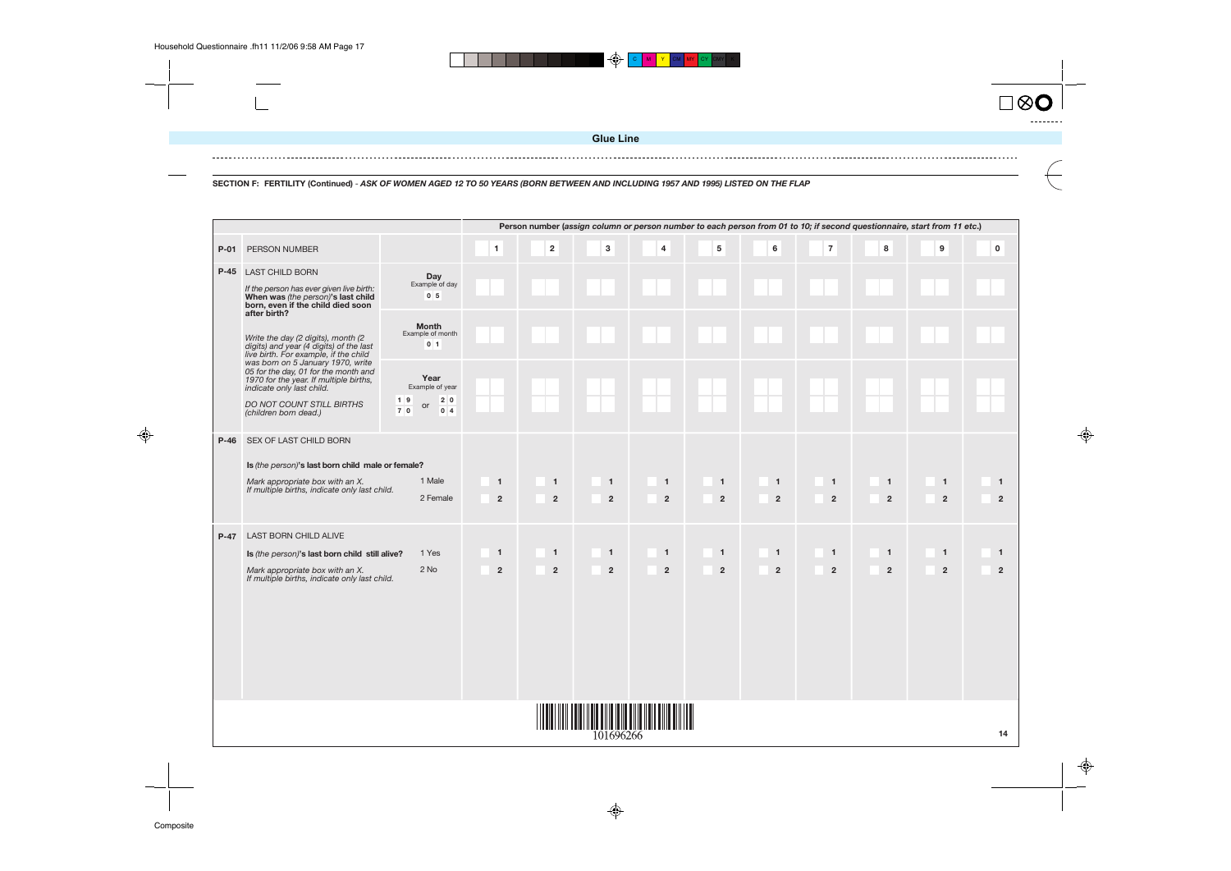$\overline{\phantom{a}}$ 

![](_page_16_Figure_6.jpeg)

![](_page_16_Figure_7.jpeg)

![](_page_16_Figure_8.jpeg)

 $\spadesuit$ 

**SECTION F: FERTILITY (Continued)** - **ASK OF WOMEN AGED 12 TO 50 YEARS (BORN BETWEEN AND INCLUDING 1957 AND 1995) LISTED ON THE FLAP**

|        |                                                                                                                                                                                                        |                                                                  |                                  |                                |                                  |                                  |                                  | Person number (assign column or person number to each person from 01 to 10; if second questionnaire, start from 11 etc.) |                               |                                  |                                  |                                  |
|--------|--------------------------------------------------------------------------------------------------------------------------------------------------------------------------------------------------------|------------------------------------------------------------------|----------------------------------|--------------------------------|----------------------------------|----------------------------------|----------------------------------|--------------------------------------------------------------------------------------------------------------------------|-------------------------------|----------------------------------|----------------------------------|----------------------------------|
| $P-01$ | PERSON NUMBER                                                                                                                                                                                          |                                                                  | $\mathbf{1}$                     | $\mathbf{2}$                   | $\mathbf 3$                      | 4                                | $\overline{\mathbf{5}}$          | $\bf 6$                                                                                                                  | $\overline{7}$                | 8                                | $\boldsymbol{9}$                 | $\pmb{0}$                        |
|        | <b>P-45 LAST CHILD BORN</b><br>If the person has ever given live birth:<br>When was (the person)'s last child<br>born, even if the child died soon<br>after birth?                                     | <b>Day</b><br>Example of day<br>0 <sub>5</sub>                   |                                  |                                |                                  |                                  |                                  |                                                                                                                          |                               |                                  |                                  |                                  |
|        | Write the day (2 digits), month (2<br>digits) and year (4 digits) of the last<br>live birth. For example, if the child                                                                                 | <b>Month</b><br>Example of month<br>0 <sub>1</sub>               |                                  |                                |                                  |                                  |                                  |                                                                                                                          |                               |                                  |                                  |                                  |
|        | was born on 5 January 1970, write<br>05 for the day, 01 for the month and<br>1970 for the year. If multiple births,<br>indicate only last child.<br>DO NOT COUNT STILL BIRTHS<br>(children born dead.) | Year<br>Example of year<br>$1 \vert 9$<br>2 0<br>or<br>0 4<br>70 |                                  |                                |                                  |                                  |                                  |                                                                                                                          |                               |                                  |                                  |                                  |
| $P-46$ | SEX OF LAST CHILD BORN<br>Is (the person)'s last born child male or female?<br>Mark appropriate box with an X.<br>If multiple births, indicate only last child.                                        | 1 Male<br>2 Female                                               | $\overline{1}$<br>$\overline{2}$ | $\mathbf{1}$<br>$\overline{2}$ | $\overline{1}$<br>$\overline{2}$ | $\blacksquare$<br>$\overline{2}$ | $\overline{1}$<br>$\overline{2}$ | $\overline{1}$<br>$\overline{2}$                                                                                         | $\overline{1}$<br>$\mathbf 2$ | $\overline{1}$<br>$\overline{2}$ | $\overline{1}$<br>$\overline{2}$ | $\overline{1}$<br>$\overline{2}$ |
| $P-47$ | LAST BORN CHILD ALIVE<br>Is (the person)'s last born child still alive?<br>Mark appropriate box with an X.<br>If multiple births, indicate only last child.                                            | 1 Yes<br>$2$ No                                                  | $\overline{1}$<br>$\overline{2}$ | $\mathbf{1}$<br>$\overline{2}$ | $\mathbf{1}$<br>$\mathbf 2$      | $\blacksquare$<br>$\overline{2}$ | $\overline{1}$<br>$\mathbf 2$    | $\mathbf{1}$<br>$\overline{2}$                                                                                           | $\overline{1}$<br>$\mathbf 2$ | $\overline{1}$<br>$\overline{2}$ | $\overline{1}$<br>$\overline{2}$ | $\mathbf{1}$<br>$\overline{2}$   |
|        |                                                                                                                                                                                                        |                                                                  |                                  |                                | 101696266                        |                                  |                                  |                                                                                                                          |                               |                                  |                                  |                                  |

♦

 $\bigoplus$ 

**Glue Line**

 $\bigoplus$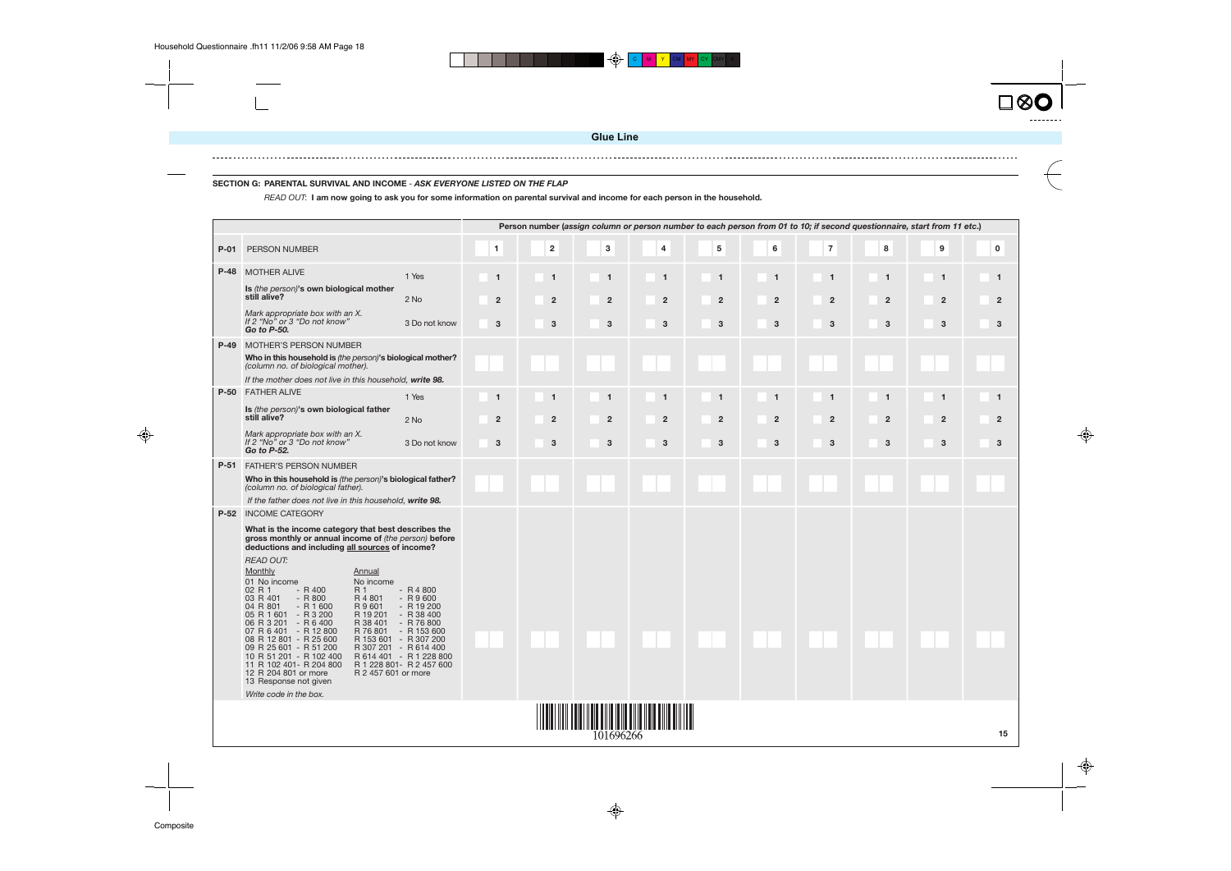![](_page_17_Picture_7.jpeg)

### **SECTION G: PARENTAL SURVIVAL AND INCOME** - **ASK EVERYONE LISTED ON THE FLAP**

READ OUT: **I am now going to ask you for some information on parental survival and income for each person in the household.**

![](_page_17_Figure_8.jpeg)

![](_page_17_Picture_9.jpeg)

|        |                                                                                                                                                                 |                                                  |                |                |                      |                |                |                |                |                | Person number (assign column or person number to each person from 01 to 10; if second questionnaire, start from 11 etc.) |             |
|--------|-----------------------------------------------------------------------------------------------------------------------------------------------------------------|--------------------------------------------------|----------------|----------------|----------------------|----------------|----------------|----------------|----------------|----------------|--------------------------------------------------------------------------------------------------------------------------|-------------|
| $P-01$ | <b>PERSON NUMBER</b>                                                                                                                                            |                                                  | 1              | $\mathbf 2$    | 3                    | 4              | ${\bf 5}$      | 6              | $\bf 7$        | 8              | 9                                                                                                                        | $\mathbf 0$ |
|        | <b>P-48 MOTHER ALIVE</b>                                                                                                                                        | 1 Yes                                            | $\overline{1}$ | $\mathbf{1}$   | $\overline{1}$       | $\mathbf{1}$   | $\overline{1}$ | $\overline{1}$ | $\mathbf{1}$   | $\mathbf{1}$   | $\mathbf{1}$                                                                                                             |             |
|        | Is (the person)'s own biological mother<br>still alive?                                                                                                         | 2 No                                             | $\overline{2}$ | $\overline{2}$ | $\overline{2}$       | $\overline{2}$ | $\overline{2}$ | $\overline{2}$ | $\overline{2}$ | $\overline{2}$ | $\overline{2}$                                                                                                           |             |
|        | Mark appropriate box with an X.<br>If 2 "No" or 3 "Do not know"<br>Go to P-50.                                                                                  | 3 Do not know                                    | 3              | 3              | 3                    | 3              | 3              | 3              | 3              | 3              | 3                                                                                                                        |             |
| $P-49$ | <b>MOTHER'S PERSON NUMBER</b>                                                                                                                                   |                                                  |                |                |                      |                |                |                |                |                |                                                                                                                          |             |
|        | Who in this household is (the person)'s biological mother?<br>(column no. of biological mother).                                                                |                                                  |                |                |                      |                |                |                |                |                |                                                                                                                          |             |
|        | If the mother does not live in this household, write 98.                                                                                                        |                                                  |                |                |                      |                |                |                |                |                |                                                                                                                          |             |
|        | <b>P-50 FATHER ALIVE</b>                                                                                                                                        | 1 Yes                                            | $\mathbf{1}$   | -1             | $\blacktriangleleft$ | 1              | $\mathbf 1$    | $\mathbf 1$    |                | $\mathbf 1$    | 1                                                                                                                        |             |
|        | Is (the person)'s own biological father<br>still alive?                                                                                                         | 2 No                                             | $\overline{2}$ | $\overline{2}$ | $\overline{2}$       | $\overline{2}$ | $\overline{2}$ | $\overline{2}$ | $\overline{2}$ | $\overline{2}$ | $\overline{2}$                                                                                                           |             |
|        | Mark appropriate box with an X.<br>If 2 "No" or 3 "Do not know"<br>Go to P-52.                                                                                  | 3 Do not know                                    | 3              | 3              | 3                    | 3              | 3              | 3              | 3              | 3              | 3                                                                                                                        |             |
|        | <b>P-51 FATHER'S PERSON NUMBER</b>                                                                                                                              |                                                  |                |                |                      |                |                |                |                |                |                                                                                                                          |             |
|        | Who in this household is (the person)'s biological father?<br>(column no. of biological father).                                                                |                                                  |                |                |                      |                |                |                |                |                |                                                                                                                          |             |
|        | If the father does not live in this household, write 98.                                                                                                        |                                                  |                |                |                      |                |                |                |                |                |                                                                                                                          |             |
| $P-52$ | <b>INCOME CATEGORY</b>                                                                                                                                          |                                                  |                |                |                      |                |                |                |                |                |                                                                                                                          |             |
|        | What is the income category that best describes the<br>gross monthly or annual income of (the person) before<br>deductions and including all sources of income? |                                                  |                |                |                      |                |                |                |                |                |                                                                                                                          |             |
|        | <b>READ OUT:</b>                                                                                                                                                |                                                  |                |                |                      |                |                |                |                |                |                                                                                                                          |             |
|        | Monthly<br>Annual<br>No income                                                                                                                                  |                                                  |                |                |                      |                |                |                |                |                |                                                                                                                          |             |
|        | 01 No income<br>$- R 400$<br>02 R 1<br>R 1                                                                                                                      | $- R4800$                                        |                |                |                      |                |                |                |                |                |                                                                                                                          |             |
|        | $- R800$<br>03 R 401<br>R 4 801<br>04 R 801<br>$- R 1600$<br>R 9 601                                                                                            | $- R9600$<br>$- R19200$                          |                |                |                      |                |                |                |                |                |                                                                                                                          |             |
|        | 05 R 1 601<br>$-R3200$<br>R 19 201<br>06 R 3 201 - R 6 400<br>R 38 401                                                                                          | $-R$ 38 400<br>$- R76800$                        |                |                |                      |                |                |                |                |                |                                                                                                                          |             |
|        | 07 R 6 401 - R 12 800<br>R 76 801<br>08 R 12 801 - R 25 600                                                                                                     | $- R153600$<br>R 153 601 - R 307 200             |                |                |                      |                |                |                |                |                |                                                                                                                          |             |
|        | 09 R 25 601 - R 51 200<br>10 R 51 201 - R 102 400                                                                                                               | R 307 201 - R 614 400<br>R 614 401 - R 1 228 800 |                |                |                      |                |                |                |                |                |                                                                                                                          |             |
|        | 11 R 102 401 - R 204 800<br>12 R 204 801 or more<br>R 2 457 601 or more<br>13 Response not given                                                                | R 1 228 801- R 2 457 600                         |                |                |                      |                |                |                |                |                |                                                                                                                          |             |
|        | Write code in the box.                                                                                                                                          |                                                  |                |                |                      |                |                |                |                |                |                                                                                                                          |             |
|        |                                                                                                                                                                 |                                                  |                |                |                      |                |                |                |                |                |                                                                                                                          |             |
|        |                                                                                                                                                                 |                                                  |                |                |                      |                |                |                |                |                |                                                                                                                          |             |
|        |                                                                                                                                                                 |                                                  |                |                | 101696266            |                |                |                |                |                |                                                                                                                          |             |

 $\bigoplus$ 

⊕

![](_page_17_Picture_10.jpeg)

 $\bigoplus$ 

**Glue Line**

 $\blacktriangleright$   $\blacktriangleright$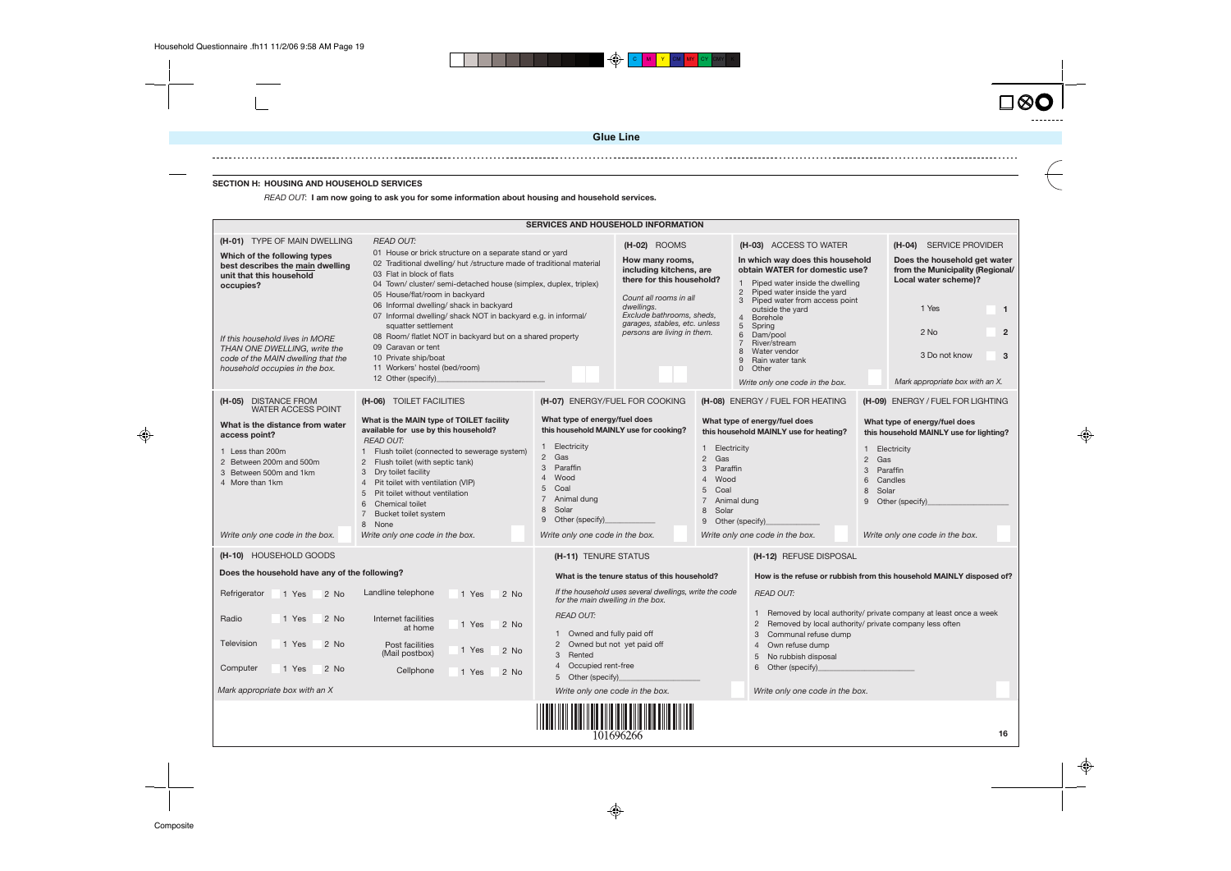### **SECTION H: HOUSING AND HOUSEHOLD SERVICES**

|                                                                                          |                                                                                                                                                                                                                                                    |                                                                                                                                                                                                                                                   | <b>Glue Line</b>                                                                                                |  |                                                                                                                                                                                                 |  |                                                                                                                   |
|------------------------------------------------------------------------------------------|----------------------------------------------------------------------------------------------------------------------------------------------------------------------------------------------------------------------------------------------------|---------------------------------------------------------------------------------------------------------------------------------------------------------------------------------------------------------------------------------------------------|-----------------------------------------------------------------------------------------------------------------|--|-------------------------------------------------------------------------------------------------------------------------------------------------------------------------------------------------|--|-------------------------------------------------------------------------------------------------------------------|
|                                                                                          |                                                                                                                                                                                                                                                    |                                                                                                                                                                                                                                                   |                                                                                                                 |  |                                                                                                                                                                                                 |  |                                                                                                                   |
| <b>SECTION H: HOUSING AND HOUSEHOLD SERVICES</b>                                         | READ OUT: I am now going to ask you for some information about housing and household services.                                                                                                                                                     |                                                                                                                                                                                                                                                   |                                                                                                                 |  |                                                                                                                                                                                                 |  |                                                                                                                   |
|                                                                                          |                                                                                                                                                                                                                                                    |                                                                                                                                                                                                                                                   |                                                                                                                 |  |                                                                                                                                                                                                 |  |                                                                                                                   |
|                                                                                          |                                                                                                                                                                                                                                                    | <b>SERVICES AND HOUSEHOLD INFORMATION</b>                                                                                                                                                                                                         |                                                                                                                 |  |                                                                                                                                                                                                 |  |                                                                                                                   |
| (H-01) TYPE OF MAIN DWELLING<br>Which of the following types                             | <b>READ OUT:</b><br>01 House or brick structure on a separate stand or yard                                                                                                                                                                        |                                                                                                                                                                                                                                                   | (H-02) ROOMS                                                                                                    |  | (H-03) ACCESS TO WATER                                                                                                                                                                          |  | (H-04) SERVICE PROVIDER                                                                                           |
| best describes the main dwelling<br>unit that this household<br>occupies?                | 02 Traditional dwelling/ hut /structure made of traditional material<br>03 Flat in block of flats<br>04 Town/ cluster/ semi-detached house (simplex, duplex, triplex)<br>05 House/flat/room in backyard<br>06 Informal dwelling/ shack in backyard |                                                                                                                                                                                                                                                   | How many rooms,<br>including kitchens, are<br>there for this household?<br>Count all rooms in all<br>dwellings. |  | In which way does this household<br>obtain WATER for domestic use?<br>1 Piped water inside the dwelling<br>2 Piped water inside the yard<br>3 Piped water from access point<br>outside the yard |  | Does the household get water<br>from the Municipality (Regional/<br>Local water scheme)?<br>1 Yes<br>$\mathbf{1}$ |
|                                                                                          | 07 Informal dwelling/ shack NOT in backyard e.g. in informal/<br>squatter settlement                                                                                                                                                               |                                                                                                                                                                                                                                                   | Exclude bathrooms, sheds,<br>garages, stables, etc. unless<br>persons are living in them.                       |  | 4 Borehole<br>5 <sup>5</sup><br>Spring                                                                                                                                                          |  | $2$ No<br>$\overline{2}$                                                                                          |
| If this household lives in MORE<br>THAN ONE DWELLING, write the                          | 08 Room/ flatlet NOT in backyard but on a shared property<br>09 Caravan or tent                                                                                                                                                                    |                                                                                                                                                                                                                                                   |                                                                                                                 |  | 6<br>Dam/pool<br>River/stream<br>Water vendor                                                                                                                                                   |  |                                                                                                                   |
| code of the MAIN dwelling that the<br>household occupies in the box.                     | 10 Private ship/boat<br>11 Workers' hostel (bed/room)                                                                                                                                                                                              |                                                                                                                                                                                                                                                   |                                                                                                                 |  | Rain water tank<br>9<br>0 Other                                                                                                                                                                 |  | 3 Do not know<br>3                                                                                                |
|                                                                                          | 12 Other (specify)                                                                                                                                                                                                                                 |                                                                                                                                                                                                                                                   |                                                                                                                 |  | Write only one code in the box.                                                                                                                                                                 |  | Mark appropriate box with an X.                                                                                   |
| (H-05) DISTANCE FROM<br><b>WATER ACCESS POINT</b>                                        | (H-06) TOILET FACILITIES                                                                                                                                                                                                                           | (H-07) ENERGY/FUEL FOR COOKING                                                                                                                                                                                                                    |                                                                                                                 |  | (H-08) ENERGY / FUEL FOR HEATING                                                                                                                                                                |  | (H-09) ENERGY / FUEL FOR LIGHTING                                                                                 |
| What is the distance from water<br>access point?                                         | What is the MAIN type of TOILET facility<br>available for use by this household?<br><b>READ OUT:</b>                                                                                                                                               | What type of energy/fuel does                                                                                                                                                                                                                     | this household MAINLY use for cooking?                                                                          |  | What type of energy/fuel does<br>this household MAINLY use for heating?                                                                                                                         |  | What type of energy/fuel does<br>this household MAINLY use for lighting?                                          |
| 1 Less than 200m<br>2 Between 200m and 500m<br>3 Between 500m and 1km<br>4 More than 1km | 1 Flush toilet (connected to sewerage system)<br>2 Flush toilet (with septic tank)<br>3 Dry toilet facility<br>Pit toilet with ventilation (VIP)<br>5 Pit toilet without ventilation<br><b>Chemical toilet</b><br>6<br>7 Bucket toilet system      | 1 Electricity<br>Electricity<br>$\mathbf{1}$<br>2 Gas<br>Gas<br>$\mathbf{2}$<br>3 Paraffin<br>Paraffin<br>3<br>Wood<br>$\overline{4}$<br>Wood<br>5 Coal<br>5<br>Coal<br>7 Animal dung<br>7 Animal dung<br>8 Solar<br>8 Solar<br>9 Other (specify) |                                                                                                                 |  | Electricity<br>$\mathbf{1}$<br>2 Gas<br>Paraffin<br>3<br>Candles<br>6<br>Solar<br>8<br>9 Other (specify)<br>9 Other (specify)_                                                                  |  |                                                                                                                   |
| Write only one code in the box.                                                          | 8 None<br>Write only one code in the box.                                                                                                                                                                                                          | Write only one code in the box.                                                                                                                                                                                                                   |                                                                                                                 |  | Write only one code in the box.                                                                                                                                                                 |  | Write only one code in the box.                                                                                   |
| (H-10) HOUSEHOLD GOODS                                                                   |                                                                                                                                                                                                                                                    | (H-11) TENURE STATUS                                                                                                                                                                                                                              |                                                                                                                 |  | (H-12) REFUSE DISPOSAL                                                                                                                                                                          |  |                                                                                                                   |
| Does the household have any of the following?                                            |                                                                                                                                                                                                                                                    |                                                                                                                                                                                                                                                   | What is the tenure status of this household?                                                                    |  |                                                                                                                                                                                                 |  | How is the refuse or rubbish from this household MAINLY disposed of?                                              |
| Refrigerator<br>1 Yes<br>2 No                                                            | Landline telephone<br>1 Yes<br>2 No                                                                                                                                                                                                                | for the main dwelling in the box.                                                                                                                                                                                                                 | If the household uses several dwellings, write the code                                                         |  | <b>READ OUT:</b>                                                                                                                                                                                |  |                                                                                                                   |
| Radio<br>1 Yes<br>2 No                                                                   | Internet facilities<br>2 No<br>1 Yes<br>at home                                                                                                                                                                                                    | <b>READ OUT:</b><br>1 Owned and fully paid off                                                                                                                                                                                                    |                                                                                                                 |  | Removed by local authority/ private company less often<br>$\mathbf{2}^{\prime}$<br>Communal refuse dump<br>3                                                                                    |  | Removed by local authority/ private company at least once a week                                                  |
| Television<br>1 Yes<br>2 No                                                              | Post facilities<br>2 No<br>1 Yes<br>(Mail postbox)                                                                                                                                                                                                 | 2 Owned but not yet paid off<br>3 Rented                                                                                                                                                                                                          |                                                                                                                 |  | Own refuse dump<br>4<br>No rubbish disposal<br>5                                                                                                                                                |  |                                                                                                                   |
| Computer<br>1 Yes<br>2 No                                                                | Cellphone<br>2 No<br>1 Yes                                                                                                                                                                                                                         | 4 Occupied rent-free<br>5 Other (specify)                                                                                                                                                                                                         |                                                                                                                 |  | Other (specify)<br>6                                                                                                                                                                            |  |                                                                                                                   |
| Mark appropriate box with an X                                                           |                                                                                                                                                                                                                                                    | Write only one code in the box.                                                                                                                                                                                                                   |                                                                                                                 |  | Write only one code in the box.                                                                                                                                                                 |  |                                                                                                                   |
|                                                                                          |                                                                                                                                                                                                                                                    |                                                                                                                                                                                                                                                   | 101696266                                                                                                       |  |                                                                                                                                                                                                 |  | 16                                                                                                                |

|                                                                                                                                         |                                                                                                                                                                                                                                                                                                                                                                                | <b>SERVICES AND HOUSEHOLD INFORMATION</b>                                                                                                                                                                                                                                                                   |                                                                                                                                              |  |                                                                                                                                                                                                                                  |                                                                                                                            |                                                                                                                    |  |  |
|-----------------------------------------------------------------------------------------------------------------------------------------|--------------------------------------------------------------------------------------------------------------------------------------------------------------------------------------------------------------------------------------------------------------------------------------------------------------------------------------------------------------------------------|-------------------------------------------------------------------------------------------------------------------------------------------------------------------------------------------------------------------------------------------------------------------------------------------------------------|----------------------------------------------------------------------------------------------------------------------------------------------|--|----------------------------------------------------------------------------------------------------------------------------------------------------------------------------------------------------------------------------------|----------------------------------------------------------------------------------------------------------------------------|--------------------------------------------------------------------------------------------------------------------|--|--|
| (H-01) TYPE OF MAIN DWELLING                                                                                                            | <b>READ OUT:</b>                                                                                                                                                                                                                                                                                                                                                               |                                                                                                                                                                                                                                                                                                             | $(H-02)$ ROOMS                                                                                                                               |  | (H-03) ACCESS TO WATER                                                                                                                                                                                                           |                                                                                                                            | (H-04) SERVICE PROVIDER                                                                                            |  |  |
| Which of the following types<br>best describes the main dwelling<br>unit that this household<br>occupies?                               | 01 House or brick structure on a separate stand or yard<br>02 Traditional dwelling/ hut /structure made of traditional material<br>03 Flat in block of flats<br>04 Town/ cluster/ semi-detached house (simplex, duplex, triplex)<br>05 House/flat/room in backyard<br>06 Informal dwelling/ shack in backyard<br>07 Informal dwelling/ shack NOT in backyard e.g. in informal/ |                                                                                                                                                                                                                                                                                                             | How many rooms,<br>including kitchens, are<br>there for this household?<br>Count all rooms in all<br>dwellings.<br>Exclude bathrooms, sheds, |  | In which way does this household<br>obtain WATER for domestic use?<br>Piped water inside the dwelling<br>$\mathbf{1}$<br>Piped water inside the yard<br>$\overline{2}$<br>Piped water from access point<br>3<br>outside the yard |                                                                                                                            | Does the household get water<br>from the Municipality (Regional<br>Local water scheme)?<br>1 Yes<br>$\overline{1}$ |  |  |
| If this household lives in MORE<br>THAN ONE DWELLING, write the<br>code of the MAIN dwelling that the<br>household occupies in the box. | squatter settlement<br>08 Room/ flatlet NOT in backyard but on a shared property<br>09 Caravan or tent<br>10 Private ship/boat<br>11 Workers' hostel (bed/room)<br>12 Other (specify)_                                                                                                                                                                                         | garages, stables, etc. unless<br>persons are living in them.                                                                                                                                                                                                                                                |                                                                                                                                              |  | $\overline{4}$<br><b>Borehole</b><br>5<br>Spring<br>6<br>Dam/pool<br>River/stream<br>7<br>8<br>Water vendor<br>9<br>Rain water tank<br>$\Omega$<br>Other<br>Write only one code in the box.                                      |                                                                                                                            | $\overline{2}$<br>2 No<br>3 Do not know<br>3<br>Mark appropriate box with an X.                                    |  |  |
| (H-05) DISTANCE FROM                                                                                                                    | (H-06) TOILET FACILITIES                                                                                                                                                                                                                                                                                                                                                       | (H-07) ENERGY/FUEL FOR COOKING                                                                                                                                                                                                                                                                              |                                                                                                                                              |  | (H-08) ENERGY / FUEL FOR HEATING                                                                                                                                                                                                 |                                                                                                                            | (H-09) ENERGY / FUEL FOR LIGHTING                                                                                  |  |  |
| <b>WATER ACCESS POINT</b><br>What is the distance from water<br>access point?                                                           | What is the MAIN type of TOILET facility<br>available for use by this household?<br><b>READ OUT:</b>                                                                                                                                                                                                                                                                           | What type of energy/fuel does                                                                                                                                                                                                                                                                               | this household MAINLY use for cooking?                                                                                                       |  | What type of energy/fuel does                                                                                                                                                                                                    | What type of energy/fuel does<br>this household MAINLY use for heating?<br>this household MAINLY use for lighting?         |                                                                                                                    |  |  |
| 1 Less than 200m<br>2 Between 200m and 500m<br>3 Between 500m and 1km<br>4 More than 1km                                                | 1 Flush toilet (connected to sewerage system)<br>Flush toilet (with septic tank)<br>$\overline{2}$<br>Dry toilet facility<br>3<br>$\overline{4}$<br>Pit toilet with ventilation (VIP)<br>5<br>Pit toilet without ventilation<br>6<br><b>Chemical toilet</b><br>$\overline{7}$<br>Bucket toilet system<br>8 None                                                                | 1 Electricity<br>1 Electricity<br>2 Gas<br>$\overline{2}$<br>Gas<br>3<br>Paraffin<br>3<br>Paraffin<br>$\overline{4}$<br>Wood<br>$\overline{4}$<br>Wood<br>5<br>Coal<br>5<br>Coal<br>$\overline{7}$<br>Animal dung<br>$\overline{7}$<br>Animal dung<br>Solar<br>8<br>8<br>Solar<br>9<br>Other (specify)<br>9 |                                                                                                                                              |  | Other (specify)                                                                                                                                                                                                                  | Electricity<br>Gas<br>Paraffin<br>Candles<br>Solar<br>Other (specify)                                                      |                                                                                                                    |  |  |
| Write only one code in the box.                                                                                                         | Write only one code in the box.                                                                                                                                                                                                                                                                                                                                                | Write only one code in the box.                                                                                                                                                                                                                                                                             |                                                                                                                                              |  | Write only one code in the box.                                                                                                                                                                                                  |                                                                                                                            | Write only one code in the box.                                                                                    |  |  |
| (H-10) HOUSEHOLD GOODS                                                                                                                  |                                                                                                                                                                                                                                                                                                                                                                                | (H-11) TENURE STATUS                                                                                                                                                                                                                                                                                        |                                                                                                                                              |  | (H-12) REFUSE DISPOSAL                                                                                                                                                                                                           |                                                                                                                            |                                                                                                                    |  |  |
| Does the household have any of the following?                                                                                           |                                                                                                                                                                                                                                                                                                                                                                                |                                                                                                                                                                                                                                                                                                             | What is the tenure status of this household?                                                                                                 |  |                                                                                                                                                                                                                                  |                                                                                                                            | How is the refuse or rubbish from this household MAINLY disposed of?                                               |  |  |
| Refrigerator<br>2 No<br>1 Yes                                                                                                           | Landline telephone<br>1 Yes<br>2 No                                                                                                                                                                                                                                                                                                                                            | for the main dwelling in the box.                                                                                                                                                                                                                                                                           | If the household uses several dwellings, write the code                                                                                      |  | <b>READ OUT:</b>                                                                                                                                                                                                                 |                                                                                                                            |                                                                                                                    |  |  |
| Radio<br>1 Yes<br>2 No                                                                                                                  | Internet facilities<br>1 Yes<br>2 No<br>at home                                                                                                                                                                                                                                                                                                                                | <b>READ OUT:</b><br>1 Owned and fully paid off                                                                                                                                                                                                                                                              |                                                                                                                                              |  | 1<br>$\overline{2}$<br>3<br>Communal refuse dump                                                                                                                                                                                 | Removed by local authority/ private company at least once a week<br>Removed by local authority/ private company less often |                                                                                                                    |  |  |
| Television<br>1 Yes<br>2 No                                                                                                             | Post facilities<br>2 No<br>1 Yes<br>(Mail postbox)                                                                                                                                                                                                                                                                                                                             | 2 Owned but not yet paid off<br>Rented<br>3                                                                                                                                                                                                                                                                 |                                                                                                                                              |  | $\overline{4}$<br>Own refuse dump<br>5<br>No rubbish disposal                                                                                                                                                                    |                                                                                                                            |                                                                                                                    |  |  |
| Computer<br>1 Yes<br>2 No                                                                                                               | Cellphone<br>2 No<br>1 Yes                                                                                                                                                                                                                                                                                                                                                     | Occupied rent-free<br>4<br>5 Other (specify)                                                                                                                                                                                                                                                                |                                                                                                                                              |  | 6<br>Other (specify)                                                                                                                                                                                                             |                                                                                                                            |                                                                                                                    |  |  |
| Mark appropriate box with an X                                                                                                          |                                                                                                                                                                                                                                                                                                                                                                                | Write only one code in the box.                                                                                                                                                                                                                                                                             |                                                                                                                                              |  | Write only one code in the box.                                                                                                                                                                                                  |                                                                                                                            |                                                                                                                    |  |  |
|                                                                                                                                         |                                                                                                                                                                                                                                                                                                                                                                                |                                                                                                                                                                                                                                                                                                             | 101696266                                                                                                                                    |  |                                                                                                                                                                                                                                  |                                                                                                                            | 16                                                                                                                 |  |  |

 $\bigoplus$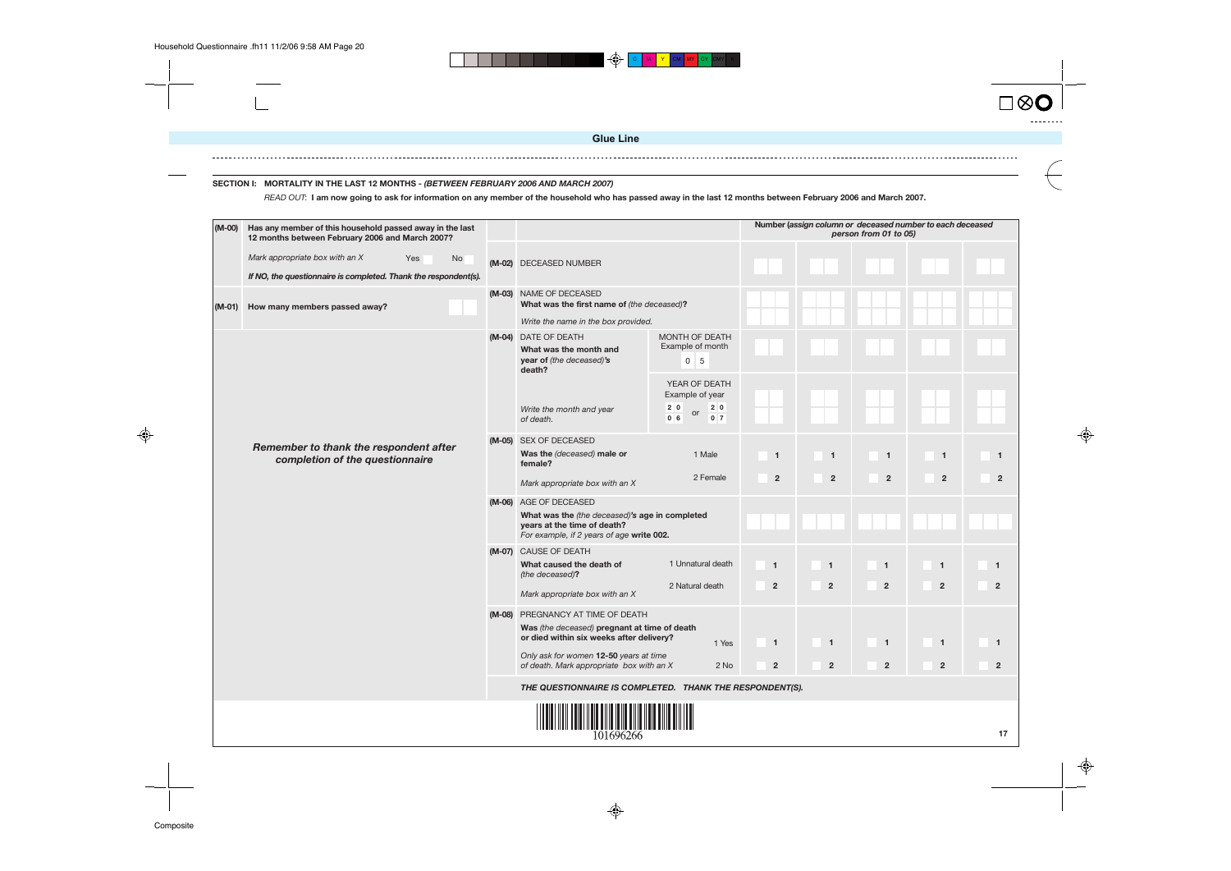![](_page_19_Figure_6.jpeg)

### **SECTION I: MORTALITY IN THE LAST 12 MONTHS - (BETWEEN FEBRUARY 2006 AND MARCH 2007)**

READ OUT: **I am now going to ask for information on any member of the household who has passed away in the last 12 months between February 2006 and March 2007.**

![](_page_19_Figure_7.jpeg)

![](_page_19_Figure_8.jpeg)

![](_page_19_Figure_9.jpeg)

| (M-00)   | Has any member of this household passed away in the last<br>12 months between February 2006 and March 2007?           |  |                                                                                                                                                                                                                     |                                                                                          |                                |                                        | Number (assign column or deceased number<br>person from 01 to 05) |  |
|----------|-----------------------------------------------------------------------------------------------------------------------|--|---------------------------------------------------------------------------------------------------------------------------------------------------------------------------------------------------------------------|------------------------------------------------------------------------------------------|--------------------------------|----------------------------------------|-------------------------------------------------------------------|--|
|          | Mark appropriate box with an X<br>Yes<br><b>No</b><br>If NO, the questionnaire is completed. Thank the respondent(s). |  | (M-02) DECEASED NUMBER                                                                                                                                                                                              |                                                                                          |                                |                                        |                                                                   |  |
| $(M-01)$ | How many members passed away?                                                                                         |  | (M-03) NAME OF DECEASED<br>What was the first name of (the deceased)?<br>Write the name in the box provided.                                                                                                        |                                                                                          |                                |                                        |                                                                   |  |
|          |                                                                                                                       |  | (M-04) DATE OF DEATH<br>What was the month and<br>year of (the deceased)'s<br>death?                                                                                                                                | MONTH OF DEATH<br>Example of month<br>5<br>0                                             |                                |                                        |                                                                   |  |
|          |                                                                                                                       |  | Write the month and year<br>of death.                                                                                                                                                                               | YEAR OF DEATH<br>Example of year<br>2 0<br>2 0<br>or<br>0 <sub>6</sub><br>0 <sub>7</sub> |                                |                                        |                                                                   |  |
|          | Remember to thank the respondent after<br>completion of the questionnaire                                             |  | (M-05) SEX OF DECEASED<br>Was the (deceased) male or<br>female?<br>Mark appropriate box with an X                                                                                                                   | 1 Male<br>2 Female                                                                       | $\mathbf{1}$<br>$\overline{2}$ | $\mathbf{1}$<br>$\overline{2}$         | -1<br>$\overline{2}$                                              |  |
|          |                                                                                                                       |  | (M-06) AGE OF DECEASED<br>What was the (the deceased)'s age in completed<br>years at the time of death?<br>For example, if 2 years of age write 002.                                                                |                                                                                          |                                |                                        |                                                                   |  |
|          |                                                                                                                       |  | (M-07) CAUSE OF DEATH<br>What caused the death of<br>(the deceased)?<br>Mark appropriate box with an X                                                                                                              | 1 Unnatural death<br>2 Natural death                                                     | $\mathbf{1}$<br>$\overline{2}$ | $\blacktriangleleft$<br>$\overline{2}$ | $\mathbf{1}$<br>$\overline{2}$                                    |  |
|          |                                                                                                                       |  | (M-08) PREGNANCY AT TIME OF DEATH<br>Was (the deceased) pregnant at time of death<br>or died within six weeks after delivery?<br>Only ask for women 12-50 years at time<br>of death. Mark appropriate box with an X | 1 Yes<br>2 No                                                                            | $\mathbf{1}$<br>$\overline{2}$ | $\overline{1}$<br>$\overline{2}$       | $\mathbf{1}$<br>$\overline{2}$                                    |  |
|          |                                                                                                                       |  | THE QUESTIONNAIRE IS COMPLETED. THANK THE RESPONDENT(S).                                                                                                                                                            |                                                                                          |                                |                                        |                                                                   |  |
|          |                                                                                                                       |  | 101696266                                                                                                                                                                                                           |                                                                                          |                                |                                        |                                                                   |  |

♦

**Glue Line**

 $\bigoplus$